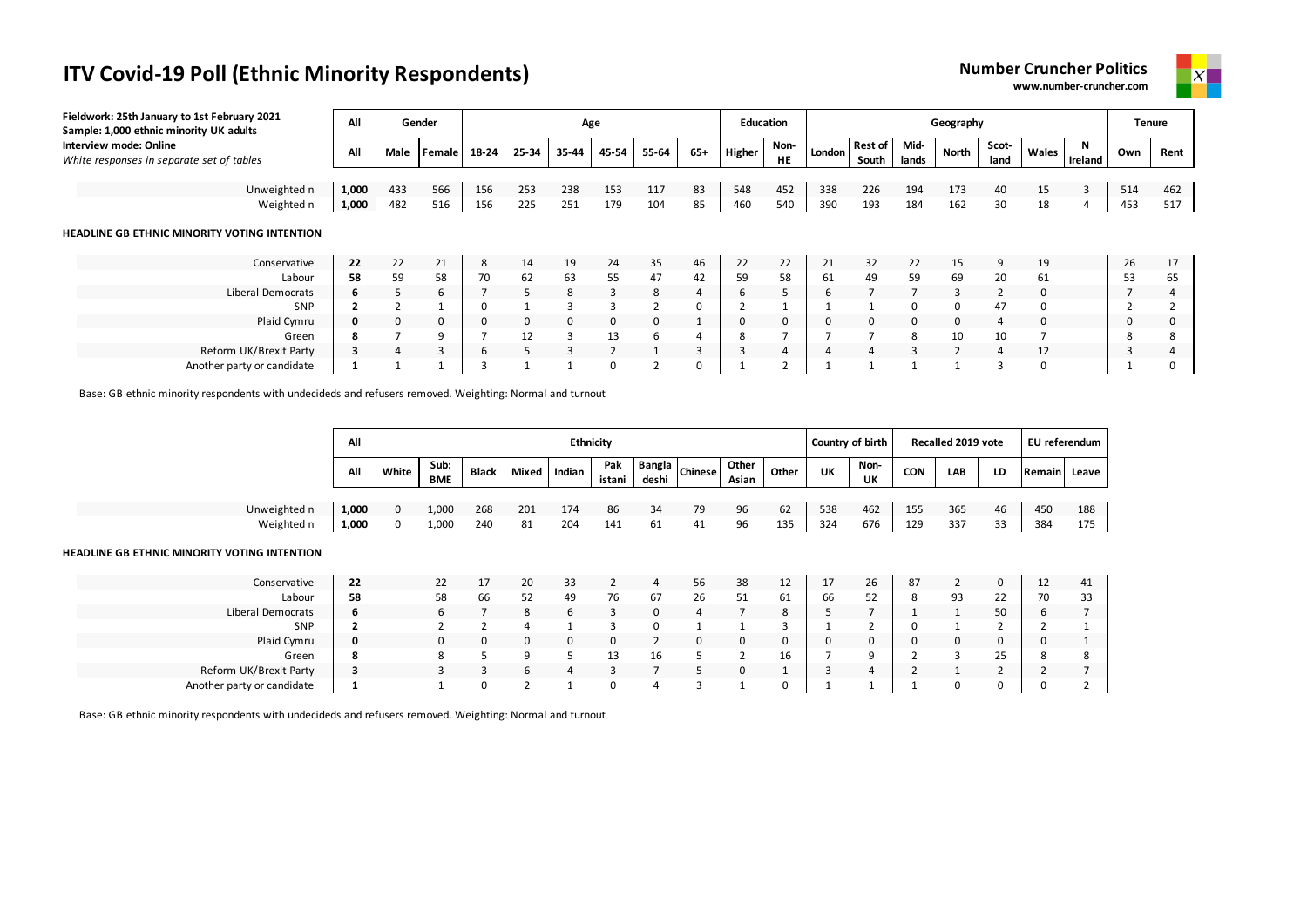**Number Cruncher Politics www.number-cruncher.com**



| Fieldwork: 25th January to 1st February 2021<br>Sample: 1,000 ethnic minority UK adults | All   |      | Gender |       |          | Age          |                |       |     | <b>Education</b> |                   |        |                         |                | Geography    |                |          |         |     | Tenure |
|-----------------------------------------------------------------------------------------|-------|------|--------|-------|----------|--------------|----------------|-------|-----|------------------|-------------------|--------|-------------------------|----------------|--------------|----------------|----------|---------|-----|--------|
| Interview mode: Online<br>White responses in separate set of tables                     | All   | Male | Female | 18-24 | 25-34    | 35-44        | 45-54          | 55-64 | 65+ | Higher           | Non-<br><b>HE</b> | London | <b>Rest of</b><br>South | Mid-<br>lands  | <b>North</b> | Scot-<br>land  | Wales    | Ireland | Own | Rent   |
|                                                                                         |       |      |        |       |          |              |                |       |     |                  |                   |        |                         |                |              |                |          |         |     |        |
| Unweighted n                                                                            | 1,000 | 433  | 566    | 156   | 253      | 238          | 153            | 117   | 83  | 548              | 452               | 338    | 226                     | 194            | 173          | 40             | 15       | 3       | 514 | 462    |
| Weighted n                                                                              | 1,000 | 482  | 516    | 156   | 225      | 251          | 179            | 104   | 85  | 460              | 540               | 390    | 193                     | 184            | 162          | 30             | 18       |         | 453 | 517    |
| HEADLINE GB ETHNIC MINORITY VOTING INTENTION                                            |       |      |        |       |          |              |                |       |     |                  |                   |        |                         |                |              |                |          |         |     |        |
| Conservative                                                                            | 22    | 22   | 21     | 8     | 14       | 19           | 24             | 35    | 46  | 22               | 22                | 21     | 32                      | 22             | 15           | 9              | 19       |         | 26  | 17     |
| Labour                                                                                  | 58    | 59   | 58     | 70    | 62       | 63           | 55             | 47    | 42  | 59               | 58                | 61     | 49                      | 59             | 69           | 20             | 61       |         | 53  | 65     |
| Liberal Democrats                                                                       | 6     | 5    | 6      |       | 5        | 8            | $\overline{3}$ | 8     | 4   | 6                |                   | h      |                         | $\overline{7}$ | $\mathbf{3}$ | $\overline{2}$ | $\Omega$ |         |     | 4      |
| SNP                                                                                     |       |      |        |       |          | २            | З              |       | 0   |                  |                   |        |                         | $\Omega$       | U            | 47             | 0        |         |     |        |
| Plaid Cymru                                                                             |       | 0    |        | 0     | $\Omega$ | $\Omega$     | 0              | 0     |     | 0                | 0                 |        | 0                       | $\mathbf 0$    |              | 4              | $\Omega$ |         | 0   |        |
| Green                                                                                   | 8     |      |        |       | 12       | 3            | 13             | 6     | 4   |                  |                   |        |                         | 8              | 10           | 10             |          |         | 8   | 8      |
| Reform UK/Brexit Party                                                                  | 3     | 4    | 3      | b     |          | $\mathbf{3}$ | 2              |       | 3   |                  |                   |        |                         | 3              |              | 4              | 12       |         | 3   |        |
| Another party or candidate                                                              |       |      |        |       |          |              | 0              |       |     |                  |                   |        |                         |                |              |                |          |         |     |        |

Base: GB ethnic minority respondents with undecideds and refusers removed. Weighting: Normal and turnout

|                                                     | All   |          |                    |              |       | <b>Ethnicity</b> |               |       |                           |                |       |     | Country of birth |            | Recalled 2019 vote |    |        | EU referendum |
|-----------------------------------------------------|-------|----------|--------------------|--------------|-------|------------------|---------------|-------|---------------------------|----------------|-------|-----|------------------|------------|--------------------|----|--------|---------------|
|                                                     | All   | White    | Sub:<br><b>BME</b> | <b>Black</b> | Mixed | Indian           | Pak<br>istani | deshi | $\sim$   Bangla   Chinese | Other<br>Asian | Other | UK  | Non-<br>UK       | <b>CON</b> | LAB                | LD | Remain | Leave         |
|                                                     |       |          |                    |              |       |                  |               |       |                           |                |       |     |                  |            |                    |    |        |               |
| Unweighted n                                        | 1,000 | $\Omega$ | 1,000              | 268          | 201   | 174              | 86            | 34    | 79                        | 96             | 62    | 538 | 462              | 155        | 365                | 46 | 450    | 188           |
| Weighted n                                          | 1,000 | 0        | 1,000              | 240          | 81    | 204              | 141           | 61    | 41                        | 96             | 135   | 324 | 676              | 129        | 337                | 33 | 384    | 175           |
| <b>HEADLINE GB ETHNIC MINORITY VOTING INTENTION</b> |       |          |                    |              |       |                  |               |       |                           |                |       |     |                  |            |                    |    |        |               |
| Conservative                                        | 22    |          | 22                 | 17           | 20    | 33               |               | 4     | 56                        | 38             | 12    | 17  | 26               | 87         |                    | 0  | 12     | 41            |
| Labour                                              | 58    |          | 58                 | 66           | 52    | 49               | 76            | 67    | 26                        | 51             | 61    | 66  | 52               |            | 93                 | 22 | 70     | 33            |

| Labour                     | 58 | 58 | bb | 52<br>ےر | 49 | 76 | 67 | 26       | -51 | 61           | bb | 52<br>ັ      | 93 | ᅩ              | 70 | 33     |
|----------------------------|----|----|----|----------|----|----|----|----------|-----|--------------|----|--------------|----|----------------|----|--------|
| Liberal Democrats          | ь  |    |    |          |    |    |    |          |     | $\circ$<br>ŏ |    |              |    | 50             |    |        |
| SNP                        |    |    |    |          |    |    |    |          |     |              |    |              |    |                |    |        |
| Plaid Cymru                | 0  | 0  | 0  |          |    |    |    | $\Omega$ |     | 0            |    |              |    |                |    |        |
| Green                      | 8  |    |    |          |    |    | 16 |          |     | 16           |    |              |    | つち<br><u>_</u> |    | o<br>◠ |
| Reform UK/Brexit Party     | -  |    |    |          |    |    |    |          |     |              |    | $\mathbf{A}$ |    |                |    |        |
| Another party or candidate |    |    |    |          |    |    |    |          |     | 0            |    |              |    |                |    |        |

Base: GB ethnic minority respondents with undecideds and refusers removed. Weighting: Normal and turnout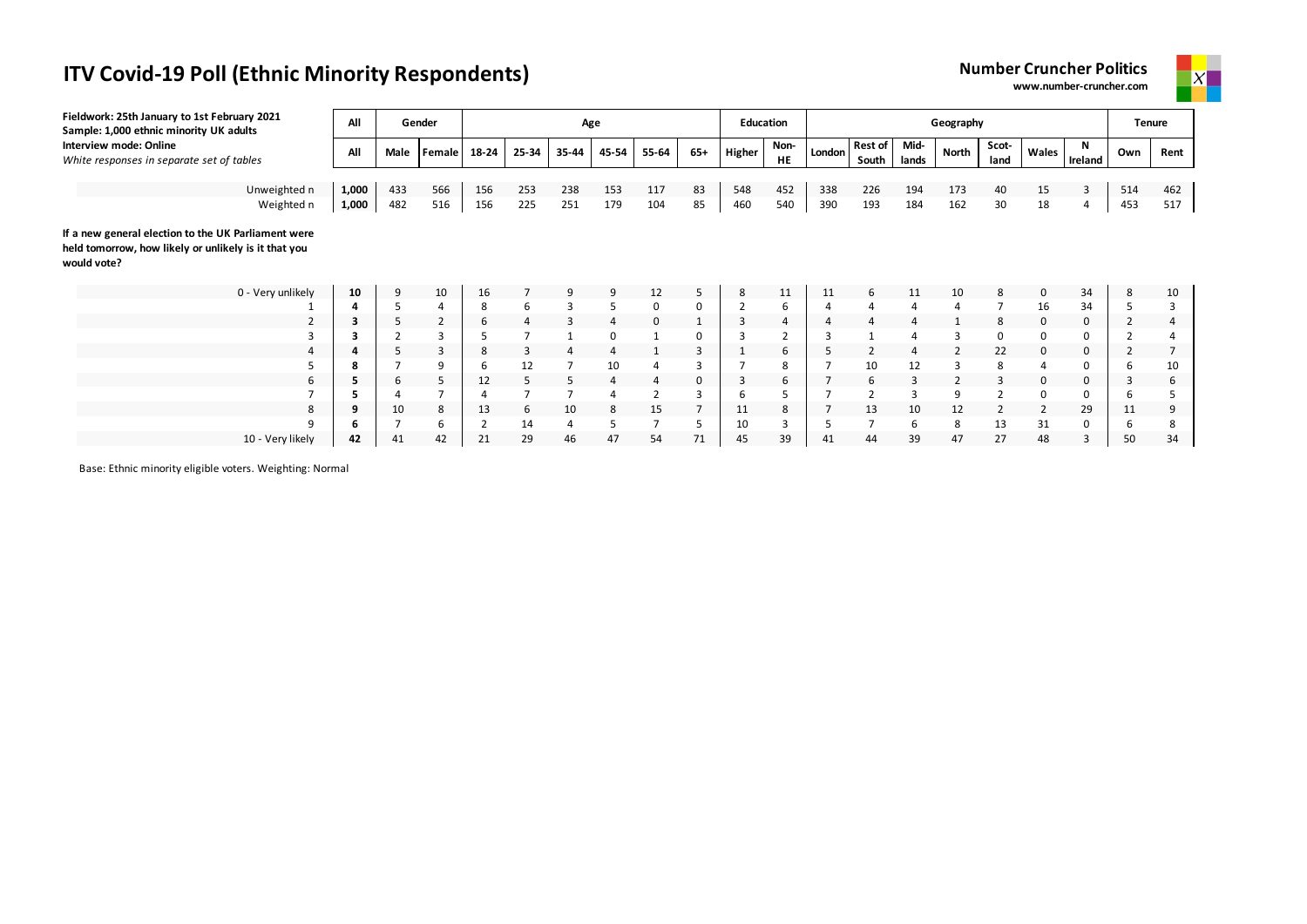



| Fieldwork: 25th January to 1st February 2021<br>Sample: 1,000 ethnic minority UK adults                                    | All   |      | Gender         |       |                | Age   |                |       |                | <b>Education</b> |            |                |                         |                | Geography      |                |                |              | <b>Tenure</b>  |      |
|----------------------------------------------------------------------------------------------------------------------------|-------|------|----------------|-------|----------------|-------|----------------|-------|----------------|------------------|------------|----------------|-------------------------|----------------|----------------|----------------|----------------|--------------|----------------|------|
| Interview mode: Online<br>White responses in separate set of tables                                                        | All   | Male | Female         | 18-24 | 25-34          | 35-44 | 45-54          | 55-64 | $65+$          | Higher           | Non-<br>HE | London         | <b>Rest of</b><br>South | Mid-<br>lands  | North          | Scot-<br>land  | Wales          | N<br>Ireland | Own            | Rent |
|                                                                                                                            |       |      |                |       |                |       |                |       |                |                  |            |                |                         |                |                |                |                |              |                |      |
| Unweighted n                                                                                                               | 1,000 | 433  | 566            | 156   | 253            | 238   | 153            | 117   | 83             | 548              | 452        | 338            | 226                     | 194            | 173            | 40             | 15             | 3            | 514            | 462  |
| Weighted n                                                                                                                 | 1,000 | 482  | 516            | 156   | 225            | 251   | 179            | 104   | 85             | 460              | 540        | 390            | 193                     | 184            | 162            | 30             | 18             | 4            | 453            | 517  |
| If a new general election to the UK Parliament were<br>held tomorrow, how likely or unlikely is it that you<br>would vote? |       |      |                |       |                |       |                |       |                |                  |            |                |                         |                |                |                |                |              |                |      |
| 0 - Very unlikely                                                                                                          | 10    | 9    | 10             | 16    |                | 9     | 9              | 12    | 5              | 8                | 11         | 11             | 6                       | 11             | 10             | 8              | $\mathbf 0$    | 34           | 8              | 10   |
|                                                                                                                            | Δ     |      |                | 8     | 6              | 3     | 5              | 0     | 0              |                  | 6          | $\overline{4}$ | $\overline{4}$          | $\overline{4}$ | 4              |                | 16             | 34           | 5              |      |
| 2                                                                                                                          | 3     | 5    | $\overline{2}$ | 6     | 4              | 3     | 4              |       |                | 3                | 4          | $\overline{4}$ |                         | 4              |                | 8              | 0              | 0            | 2              |      |
| 3                                                                                                                          |       |      |                |       | $\overline{7}$ |       | 0              |       | 0              |                  |            |                |                         |                |                | 0              | $\Omega$       | $\Omega$     |                |      |
| 4                                                                                                                          |       |      | 3              | 8     | 3              |       | $\overline{4}$ |       | 3              |                  | 6          | 5              |                         | $\overline{4}$ | $\overline{2}$ | 22             | 0              | $\mathbf 0$  | $\overline{2}$ |      |
| 5                                                                                                                          | 8     |      | 9              | ь     | 12             |       | 10             |       |                |                  | 8          |                | 10                      | 12             | 3              | 8              |                | $\Omega$     | 6              | 10   |
| 6                                                                                                                          | 5     | 6    | 5.             | 12    | 5              | 5     | $\overline{4}$ | 4     | 0              | 3                | 6          |                | 6                       | 3              |                | 3              | 0              | $\mathbf 0$  | 3              | ь    |
|                                                                                                                            |       |      |                |       | $\overline{7}$ |       | 4              |       | 3              | 6                |            |                |                         | 3              | 9              |                | 0              | 0            | 6              |      |
| 8                                                                                                                          | 9     | 10   | 8              | 13    | 6              | 10    | 8              | 15    | $\overline{7}$ | 11               | 8          | 7              | 13                      | 10             | 12             | $\overline{2}$ | $\overline{2}$ | 29           | 11             | 9    |
| 9                                                                                                                          | h     |      |                |       | 14             | 4     | 5              |       |                | 10               | 3          |                |                         | 6              | 8              | 13             | 31             | $\Omega$     | 6              | 8    |

10 - Very likely **42** 41 42 21 29 46 47 54 71 45 39 41 44 39 47 27 48 3 50 34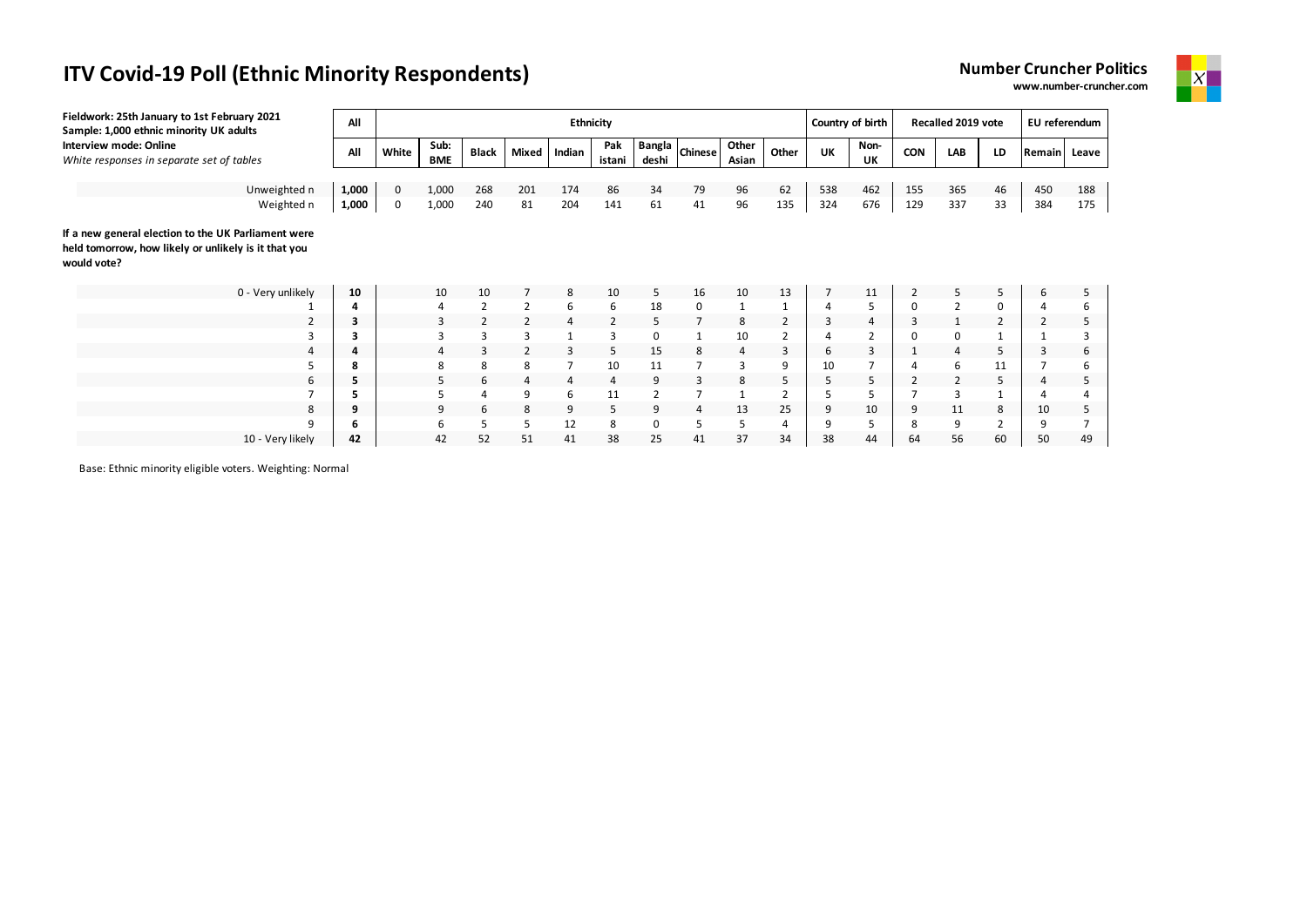



| Fieldwork: 25th January to 1st February 2021<br>Sample: 1,000 ethnic minority UK adults                                    | All   |       |                    |                |                | Ethnicity |                      |                        |                |                |                | Country of birth |                |                | Recalled 2019 vote  |                | EU referendum |     |
|----------------------------------------------------------------------------------------------------------------------------|-------|-------|--------------------|----------------|----------------|-----------|----------------------|------------------------|----------------|----------------|----------------|------------------|----------------|----------------|---------------------|----------------|---------------|-----|
| Interview mode: Online<br>White responses in separate set of tables                                                        | All   | White | Sub:<br><b>BME</b> | Black          | Mixed          | Indian    | Pak<br>istani        | <b>Bangla</b><br>deshi | <b>Chinese</b> | Other<br>Asian | Other          | UK               | Non-<br>UK     | <b>CON</b>     | LAB                 | LD             | Remain Leave  |     |
| Unweighted n                                                                                                               | 1,000 | 0     | 1,000              | 268            | 201            | 174       | 86                   | 34                     | 79             | 96             | 62             | 538              | 462            | 155            | 365                 | 46             | 450           | 188 |
| Weighted n                                                                                                                 | 1,000 | 0     | 1,000              | 240            | 81             | 204       | 141                  | 61                     | 41             | 96             | 135            | 324              | 676            | 129            | 337                 | 33             | 384           | 175 |
| If a new general election to the UK Parliament were<br>held tomorrow, how likely or unlikely is it that you<br>would vote? |       |       |                    |                |                |           |                      |                        |                |                |                |                  |                |                |                     |                |               |     |
| 0 - Very unlikely                                                                                                          | 10    |       | 10                 | 10             |                | 8         | 10                   | 5                      | 16             | 10             | 13             | $\overline{7}$   | 11             | 2              | 5                   | 5              | 6             |     |
|                                                                                                                            |       |       | 4                  | 2              | $\overline{2}$ | 6         | 6                    | 18                     | 0              | $\mathbf{1}$   |                | 4                | 5              | 0              | $\overline{2}$      | 0              |               | b   |
|                                                                                                                            |       |       | 3                  | $\overline{2}$ |                | 4         | $\overline{2}$       | 5                      |                | 8              | $\overline{2}$ | 3                | 4              | 3              |                     | $\overline{2}$ | 2             |     |
| 3                                                                                                                          |       |       | 3                  | 3              | 3              |           | 3                    | 0                      |                | 10             | 2              | 4                | $\overline{2}$ | 0              | 0                   |                |               |     |
| 4                                                                                                                          |       |       | 4                  | 3              |                | 3         | 5                    | 15                     | 8              | 4              | 3              | 6                | 3              |                | 4                   | 5              | 3             | 6   |
| 5<br>6                                                                                                                     | ŏ     |       | 8<br>5             | 8<br>6         | 8<br>4         | 7<br>4    | 10<br>$\overline{4}$ | 11<br>9                | 3              | 3<br>8         | 9<br>5         | 10<br>5          | 5              | $\overline{2}$ | 6<br>$\overline{2}$ | 11<br>5        | 4             | b   |
|                                                                                                                            |       |       | 5                  | 4              | 9              | 6         | 11                   | 2                      |                |                | 2              | 5                |                |                | 3                   |                |               |     |
| 8                                                                                                                          |       |       | 9                  | 6              | 8              | 9         | 5                    | 9                      | $\overline{a}$ | 13             | 25             | 9                | 10             | 9              | 11                  | 8              | 10            |     |
| q                                                                                                                          | 6     |       | 6                  | 5              | 5              | 12        | 8                    | 0                      | 5              | 5              | 4              | 9                |                | 8              | 9                   | $\overline{2}$ | 9             |     |
| 10 - Very likely                                                                                                           | 42    |       | 42                 | 52             | 51             | 41        | 38                   | 25                     | 41             | 37             | 34             | 38               | 44             | 64             | 56                  | 60             | 50            | 49  |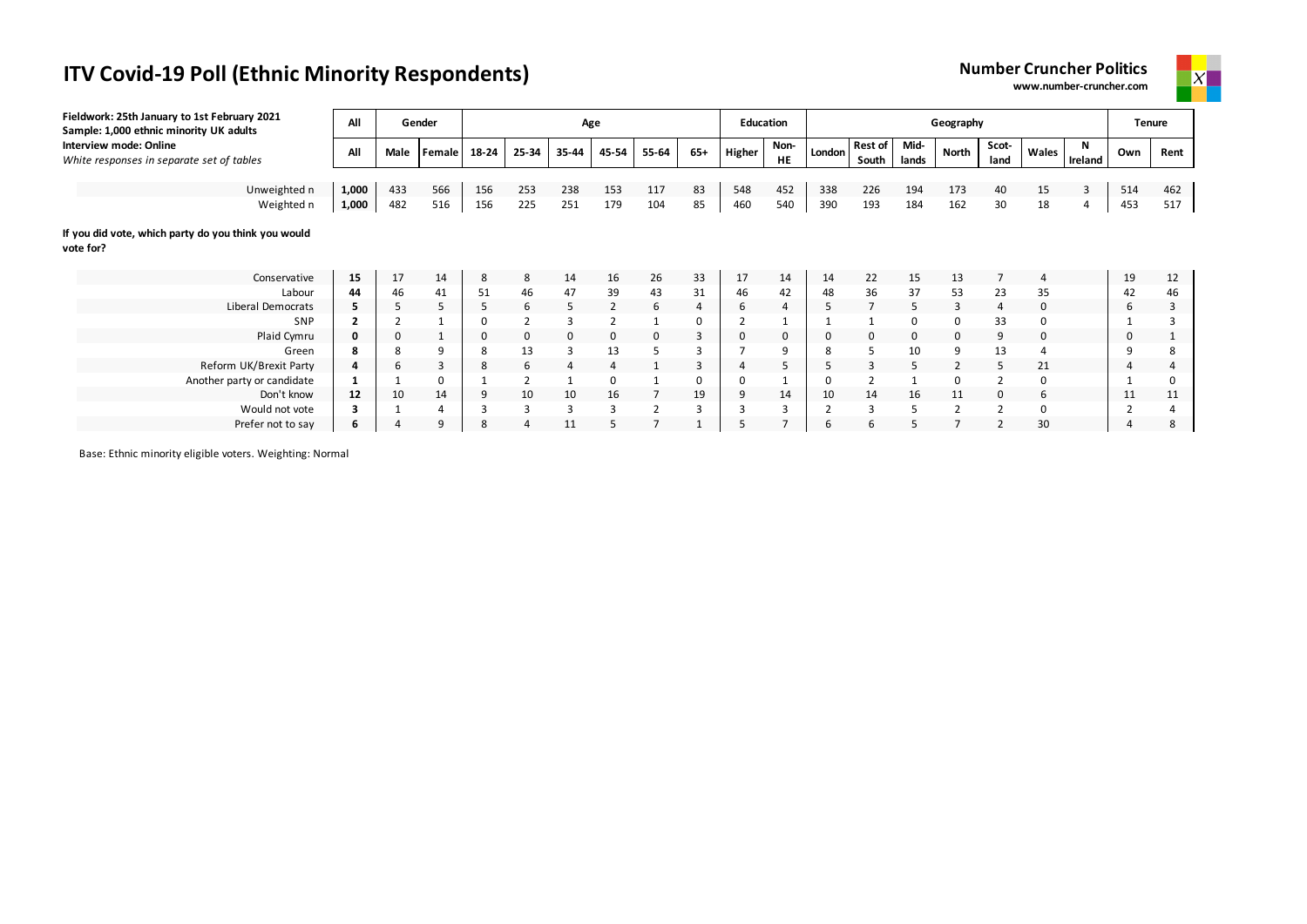**Number Cruncher Politics www.number-cruncher.com**



| Fieldwork: 25th January to 1st February 2021<br>Sample: 1,000 ethnic minority UK adults | All   |             | Gender   |       |       | Age         |                |                |          | <b>Education</b> |            |        |                         |               | Geography      |               |                |              |                | <b>Tenure</b> |
|-----------------------------------------------------------------------------------------|-------|-------------|----------|-------|-------|-------------|----------------|----------------|----------|------------------|------------|--------|-------------------------|---------------|----------------|---------------|----------------|--------------|----------------|---------------|
| Interview mode: Online<br>White responses in separate set of tables                     | All   | Male        | Female   | 18-24 | 25-34 | 35-44       | 45-54          | 55-64          | $65+$    | Higher           | Non-<br>HE | London | <b>Rest of</b><br>South | Mid-<br>lands | <b>North</b>   | Scot-<br>land | Wales          | N<br>Ireland | Own            | Rent          |
|                                                                                         |       |             |          |       |       |             |                |                |          |                  |            |        |                         |               |                |               |                |              |                |               |
| Unweighted n                                                                            | 1,000 | 433         | 566      | 156   | 253   | 238         | 153            | 117            | 83       | 548              | 452        | 338    | 226                     | 194           | 173            | 40            | 15             | 3            | 514            | 462           |
| Weighted n                                                                              | 1,000 | 482         | 516      | 156   | 225   | 251         | 179            | 104            | 85       | 460              | 540        | 390    | 193                     | 184           | 162            | 30            | 18             | 4            | 453            | 517           |
| If you did vote, which party do you think you would<br>vote for?                        |       |             |          |       |       |             |                |                |          |                  |            |        |                         |               |                |               |                |              |                |               |
| Conservative                                                                            | 15    | 17          | 14       | 8     | 8     | 14          | 16             | 26             | 33       | 17               | 14         | 14     | 22                      | 15            | 13             |               | $\overline{a}$ |              | 19             | 12            |
| Labour                                                                                  | 44    | 46          | 41       | 51    | 46    | 47          | 39             | 43             | 31       | 46               | 42         | 48     | 36                      | 37            | 53             | 23            | 35             |              | 42             | 46            |
| Liberal Democrats                                                                       | 5     | 5           | 5        | 5     | 6     | 5           | 2              | 6              | 4        | 6                | 4          | 5      | $\overline{7}$          | 5             | 3              | 4             | $\mathbf{0}$   |              | 6              | 3             |
| SNP                                                                                     |       | 2           |          | 0     |       | 3           | $\overline{2}$ |                | 0        |                  |            |        |                         | 0             | $\Omega$       | 33            |                |              |                |               |
| Plaid Cymru                                                                             | 0     | $\mathbf 0$ |          | 0     | 0     | $\mathbf 0$ | 0              | $\mathbf 0$    | 3        | 0                | 0          |        | 0                       | 0             | 0              | 9             | 0              |              | 0              |               |
| Green                                                                                   | 8     | 8           | q        | 8     | 13    | 3           | 13             |                | 3        |                  | 9          |        |                         | 10            | 9              | 13            |                |              | 9              | 8             |
| Reform UK/Brexit Party                                                                  | 4     | 6           | 3        | 8     | 6     |             | 4              |                | 3        |                  |            |        |                         | 5             |                | 5             | 21             |              | 4              |               |
| Another party or candidate                                                              |       |             | $\Omega$ |       |       |             | 0              |                | $\Omega$ | 0                |            |        |                         |               |                |               |                |              |                |               |
| Don't know                                                                              | 12    | 10          | 14       | 9     | 10    | 10          | 16             | $\overline{7}$ | 19       | 9                | 14         | 10     | 14                      | 16            | 11             | 0             | 6              |              | 11             | 11            |
| Would not vote                                                                          | з     |             |          | 3     | 3     | 3           | 3              | $\overline{2}$ | 3        |                  | 3          |        | 3                       | 5             | $\overline{2}$ |               | $\Omega$       |              | $\overline{2}$ |               |
| Prefer not to say                                                                       | 6     |             | q        | 8     |       | 11          |                |                |          |                  |            |        | 6                       |               |                |               | 30             |              |                |               |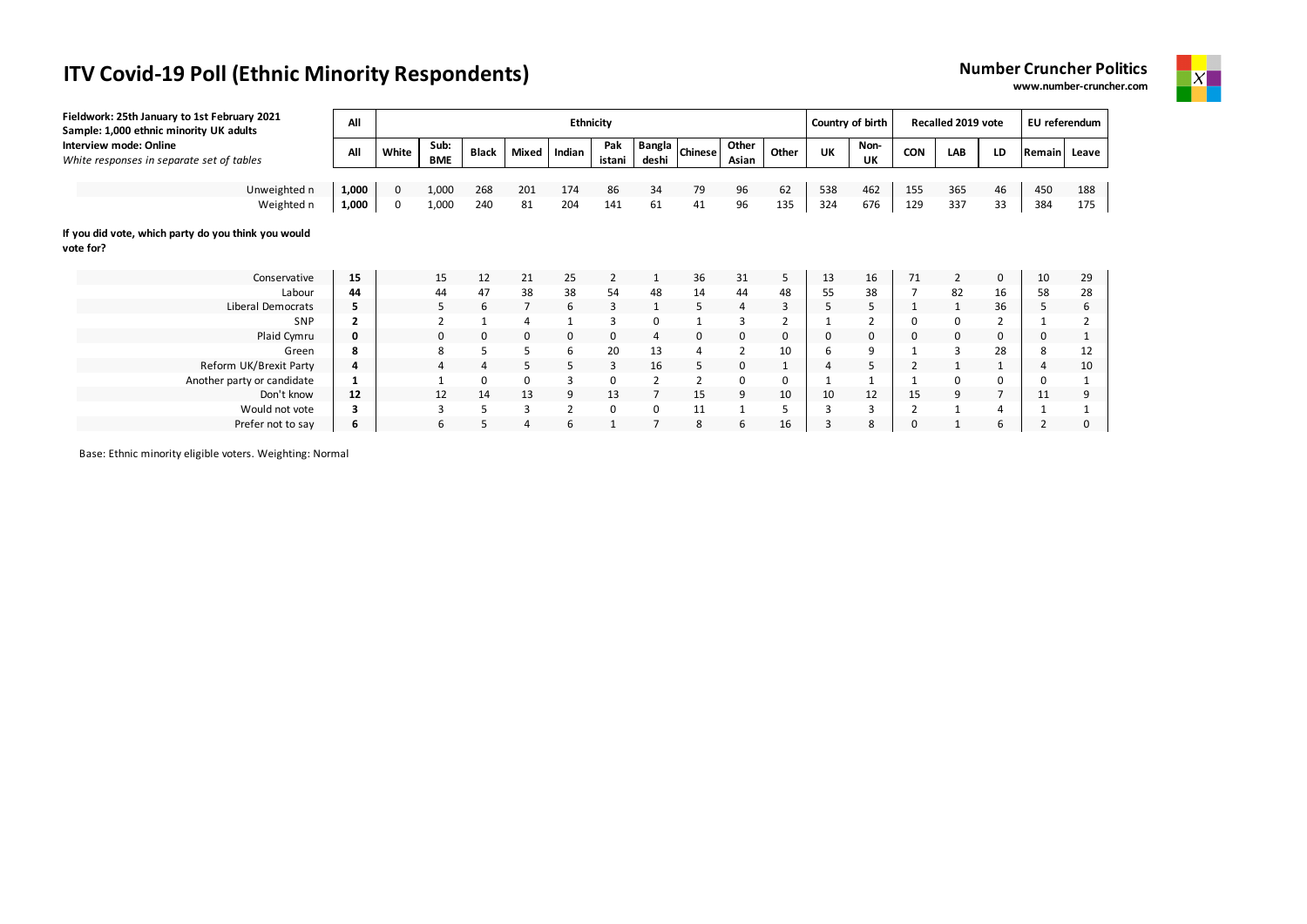| <b>Number Cruncher Politics</b> |  |
|---------------------------------|--|
| www.number-cruncher.com         |  |



| Fieldwork: 25th January to 1st February 2021<br>Sample: 1,000 ethnic minority UK adults | All            |       |                    |             |                | Ethnicity      |               |                        | Country of birth |                |       | Recalled 2019 vote |                | EU referendum  |                |    |              |     |
|-----------------------------------------------------------------------------------------|----------------|-------|--------------------|-------------|----------------|----------------|---------------|------------------------|------------------|----------------|-------|--------------------|----------------|----------------|----------------|----|--------------|-----|
| Interview mode: Online<br>White responses in separate set of tables                     | All            | White | Sub:<br><b>BME</b> | Black       | Mixed          | Indian         | Pak<br>istani | <b>Bangla</b><br>deshi | <b>Chinese</b>   | Other<br>Asian | Other | UK                 | Non-<br>UK     | <b>CON</b>     | LAB            | LD | Remain Leave |     |
| Unweighted n                                                                            | 1,000          | 0     | 1,000              | 268         | 201            | 174            | 86            | 34                     | 79               | 96             | 62    | 538                | 462            | 155            | 365            | 46 | 450          | 188 |
| Weighted n                                                                              | 1,000          | 0     | 1,000              | 240         | 81             | 204            | 141           | 61                     | 41               | 96             | 135   | 324                | 676            | 129            | 337            | 33 | 384          | 175 |
| If you did vote, which party do you think you would<br>vote for?                        |                |       |                    |             |                |                |               |                        |                  |                |       |                    |                |                |                |    |              |     |
| Conservative                                                                            | 15             |       | 15                 | 12          | 21             | 25             | 2             |                        | 36               | 31             | 5     | 13                 | 16             | 71             | $\overline{2}$ | 0  | 10           | 29  |
| Labour                                                                                  | 44             |       | 44                 | 47          | 38             | 38             | 54            | 48                     | 14               | 44             | 48    | 55                 | 38             | $\overline{7}$ | 82             | 16 | 58           | 28  |
| Liberal Democrats                                                                       | 5              |       | 5                  | 6           |                | 6              | 3             | 1                      | 5                | $\overline{4}$ | 3     | 5                  | 5              |                |                | 36 | 5            | 6   |
| SNP                                                                                     | $\overline{2}$ |       | $\mathcal{P}$      |             | $\overline{4}$ | $\mathbf{1}$   | 3             | 0                      |                  | 3              | 2     |                    | $\overline{2}$ | 0              | 0              | 2  |              |     |
| Plaid Cymru                                                                             | 0              |       | 0                  | $\mathbf 0$ | $\mathbf 0$    | 0              | 0             | 4                      | 0                | 0              | 0     | 0                  | 0              | $\mathbf 0$    | 0              | 0  | 0            |     |
| Green                                                                                   | 8              |       | 8                  | 5           | 5              | 6              | 20            | 13                     |                  | $\overline{2}$ | 10    | 6                  | 9              |                | 3              | 28 | 8            | 12  |
| Reform UK/Brexit Party                                                                  | 4              |       |                    | 4           | 5              | 5              | 3             | 16                     | 5                | 0              |       | 4                  | 5              |                |                |    | 4            | 10  |
| Another party or candidate                                                              |                |       |                    | 0           | 0              | 3              | 0             | 2                      |                  | 0              | 0     |                    |                |                | 0              | 0  | 0            |     |
| Don't know                                                                              | 12             |       | 12                 | 14          | 13             | 9              | 13            | $\overline{7}$         | 15               | 9              | 10    | 10                 | 12             | 15             | 9              | 7  | 11           |     |
| Would not vote                                                                          | з              |       | 3                  | 5           | 3              | $\overline{2}$ | 0             | 0                      | 11               |                | 5     | 3                  | 3              |                |                | 4  |              |     |
| Prefer not to say                                                                       | 6              |       | 6                  | 5           | Δ              | 6              | 1             |                        | 8                | 6              | 16    | 3                  | 8              | $\Omega$       |                | 6  | 2            |     |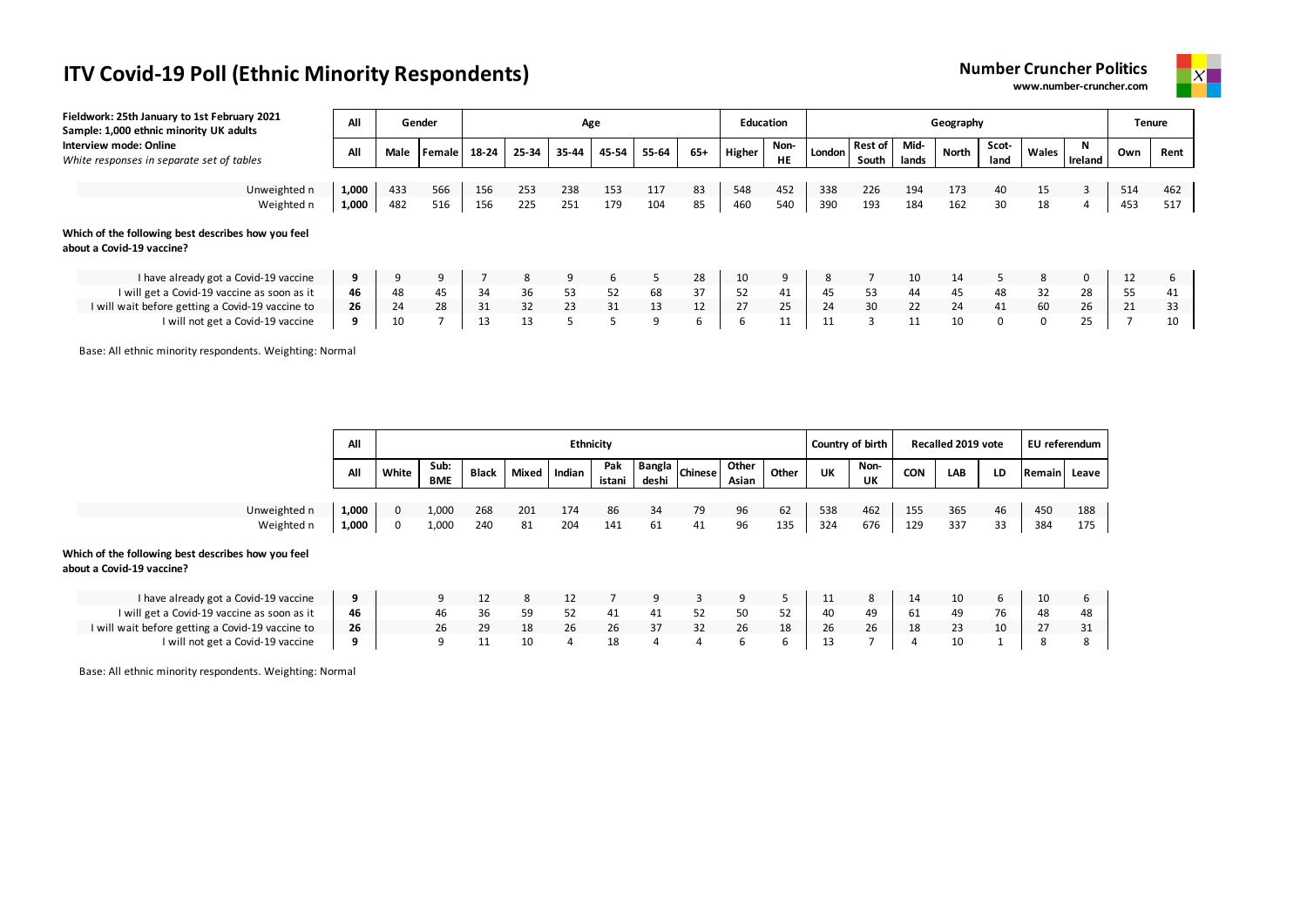| <b>Number Cruncher Politics</b> |  |
|---------------------------------|--|
| www.number-cruncher.com         |  |



| Fieldwork: 25th January to 1st February 2021<br>Sample: 1,000 ethnic minority UK adults | All   |      | Gender            |       |       | Age   |       |       |       | <b>Education</b> |                   |        |                         |               | Geography    |               |       |              |     | Tenure |
|-----------------------------------------------------------------------------------------|-------|------|-------------------|-------|-------|-------|-------|-------|-------|------------------|-------------------|--------|-------------------------|---------------|--------------|---------------|-------|--------------|-----|--------|
| Interview mode: Online<br>White responses in separate set of tables                     | All   | Male | <b>I</b> Female I | 18-24 | 25-34 | 35-44 | 45-54 | 55-64 | $65+$ | Higher           | Non-<br><b>HE</b> | London | <b>Rest of</b><br>South | Mid-<br>lands | <b>North</b> | Scot-<br>land | Wales | N<br>Ireland | Own | Rent   |
|                                                                                         |       |      |                   |       |       |       |       |       |       |                  |                   |        |                         |               |              |               |       |              |     |        |
| Unweighted n                                                                            | 1,000 | 433  | 566               | 156   | 253   | 238   | 153   | 117   | 83    | 548              | 452               | 338    | 226                     | 194           | 173          | 40            | 15    | 3            | 514 | 462    |
| Weighted n                                                                              | 1,000 | 482  | 516               | 156   | 225   | 251   | 179   | 104   | 85    | 460              | 540               | 390    | 193                     | 184           | 162          | 30            | 18    | 4            | 453 | 517    |
| Which of the following best describes how you feel<br>about a Covid-19 vaccine?         |       |      |                   |       |       |       |       |       |       |                  |                   |        |                         |               |              |               |       |              |     |        |
| I have already got a Covid-19 vaccine                                                   | 9     | 9    | 9                 |       | 8     | 9     | 6     | 5     | 28    | 10               |                   | 8      |                         | 10            | 14           | 5             | 8     | 0            | 12  | ь      |
| I will get a Covid-19 vaccine as soon as it                                             | 46    | 48   | 45                | 34    | 36    | 53    | 52    | 68    | 37    | 52               | 41                | 45     | 53                      | 44            | 45           | 48            | 32    | 28           | 55  | 41     |
| I will wait before getting a Covid-19 vaccine to                                        | 26    | 24   | 28                | 31    | 32    | 23    | 31    | 13    | 12    | 27               | 25                | 24     | 30                      | 22            | 24           | 41            | 60    | 26           | 21  | 33     |
| I will not get a Covid-19 vaccine                                                       | 9     | 10   |                   | 13    | 13    |       |       | q     | ь     | b                | 11                | 11     | 3                       | 11            | 10           | 0             | 0     | 25           |     | 10     |

Base: All ethnic minority respondents. Weighting: Normal

|                                                                                 | All   |       |             |              |       | <b>Ethnicity</b> |               |                        |                |                |       | Country of birth |            |            | Recalled 2019 vote |    | EU referendum |       |
|---------------------------------------------------------------------------------|-------|-------|-------------|--------------|-------|------------------|---------------|------------------------|----------------|----------------|-------|------------------|------------|------------|--------------------|----|---------------|-------|
|                                                                                 | All   | White | Sub:<br>BME | <b>Black</b> | Mixed | Indian           | Pak<br>istani | <b>Bangla</b><br>deshi | <b>Chinese</b> | Other<br>Asian | Other | UK               | Non-<br>UΚ | <b>CON</b> | LAB                | LD | Remain        | Leave |
|                                                                                 |       |       |             |              |       |                  |               |                        |                |                |       |                  |            |            |                    |    |               |       |
| Unweighted n                                                                    | 1,000 | 0     | 1,000       | 268          | 201   | 174              | 86            | 34                     | 79             | 96             | 62    | 538              | 462        | 155        | 365                | 46 | 450           | 188   |
| Weighted n                                                                      | 1,000 | 0     | 1,000       | 240          | 81    | 204              | 141           | 61                     | 41             | 96             | 135   | 324              | 676        | 129        | 337                | 33 | 384           | 175   |
| Which of the following best describes how you feel<br>about a Covid-19 vaccine? |       |       |             |              |       |                  |               |                        |                |                |       |                  |            |            |                    |    |               |       |
| I have already got a Covid-19 vaccine                                           | 9     |       | 9           | 12           | 8     | 12               |               | 9                      | 3              | 9              |       | 11               | 8          | 14         | 10                 | 6  | 10            | 6     |
| I will get a Covid-19 vaccine as soon as it                                     | 46    |       | 46          | 36           | 59    | 52               | 41            | 41                     | 52             | 50             | 52    | 40               | 49         | 61         | 49                 | 76 | 48            | 48    |
| I will wait before getting a Covid-19 vaccine to                                | 26    |       | 26          | 29           | 18    | 26               | 26            | 37                     | 32             | 26             | 18    | 26               | 26         | 18         | 23                 | 10 | 27            | 31    |
| I will not get a Covid-19 vaccine                                               | 9     |       | 9           | 11           | 10    | 4                | 18            | 4                      | 4              | 6              | ь     | 13               | ∍          |            | 10                 |    |               | 8     |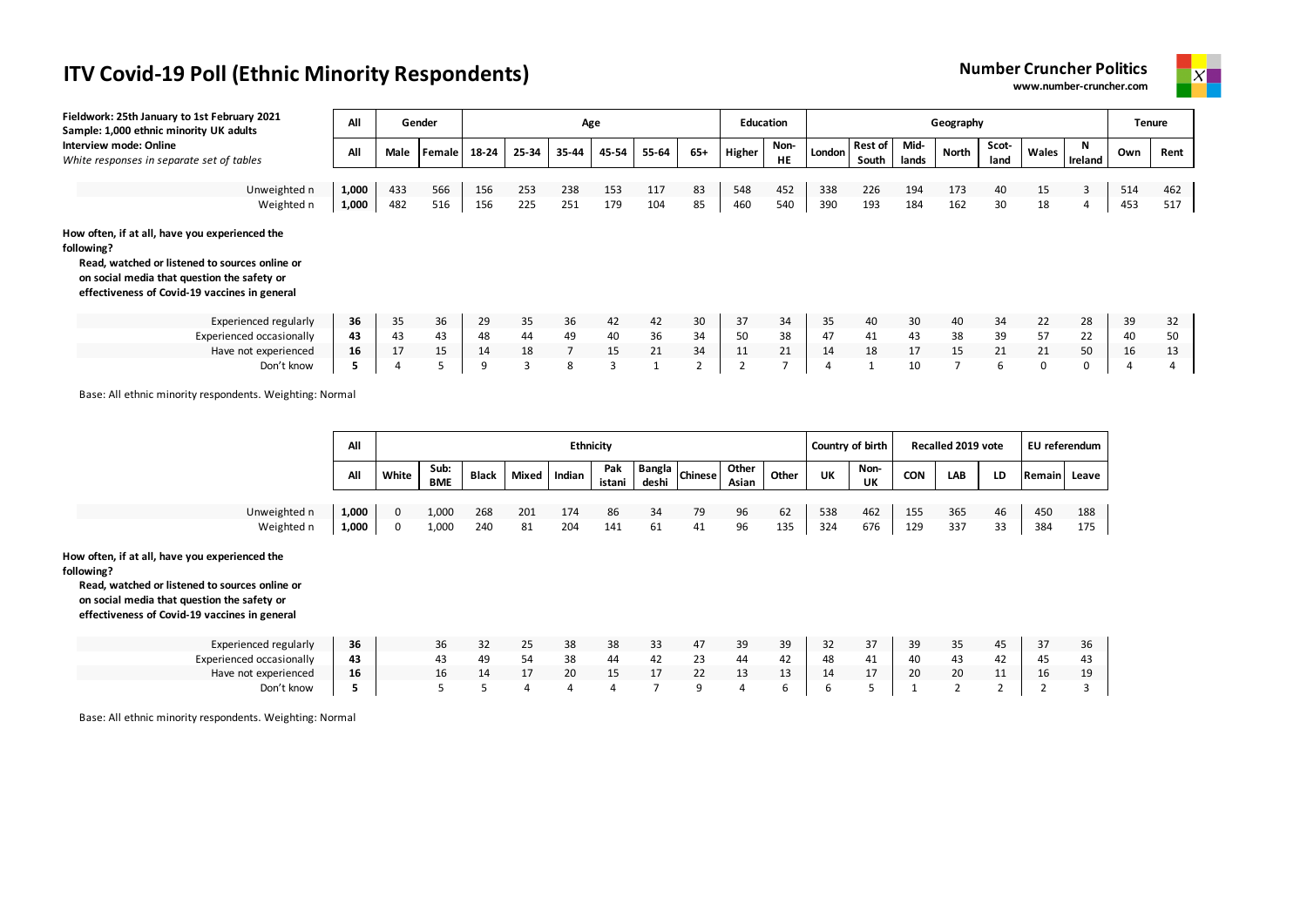



| Fieldwork: 25th January to 1st February 2021<br>Sample: 1,000 ethnic minority UK adults                                                                                                                        | All   |      | Gender        |       |       |                | Age   |       |       | <b>Education</b> |                   |        |                         |               | Geography |               |              |          |     | <b>Tenure</b> |
|----------------------------------------------------------------------------------------------------------------------------------------------------------------------------------------------------------------|-------|------|---------------|-------|-------|----------------|-------|-------|-------|------------------|-------------------|--------|-------------------------|---------------|-----------|---------------|--------------|----------|-----|---------------|
| Interview mode: Online<br>White responses in separate set of tables                                                                                                                                            | All   | Male | <b>Female</b> | 18-24 | 25-34 | 35-44          | 45-54 | 55-64 | $65+$ | <b>Higher</b>    | Non-<br><b>HE</b> | London | <b>Rest of</b><br>South | Mid-<br>lands | North     | Scot-<br>land | Wales        | Ireland  | Own | Rent          |
|                                                                                                                                                                                                                |       |      |               |       |       |                |       |       |       |                  |                   |        |                         |               |           |               |              |          |     |               |
| Unweighted n                                                                                                                                                                                                   | 1,000 | 433  | 566           | 156   | 253   | 238            | 153   | 117   | 83    | 548              | 452               | 338    | 226                     | 194           | 173       | 40            | 15           | 3        | 514 | 462           |
| Weighted n                                                                                                                                                                                                     | 1,000 | 482  | 516           | 156   | 225   | 251            | 179   | 104   | 85    | 460              | 540               | 390    | 193                     | 184           | 162       | 30            | 18           |          | 453 | 517           |
| How often, if at all, have you experienced the<br>following?<br>Read, watched or listened to sources online or<br>on social media that question the safety or<br>effectiveness of Covid-19 vaccines in general |       |      |               |       |       |                |       |       |       |                  |                   |        |                         |               |           |               |              |          |     |               |
| Experienced regularly                                                                                                                                                                                          | 36    | 35   | 36            | 29    | 35    | 36             | 42    | 42    | 30    | 37               | 34                | 35     | 40                      | 30            | 40        | 34            | 22           | 28       | 39  | 32            |
| Experienced occasionally                                                                                                                                                                                       | 43    | 43   | 43            | 48    | 44    | 49             | 40    | 36    | 34    | 50               | 38                | 47     | 41                      | 43            | 38        | 39            | 57           | 22       | 40  | 50            |
| Have not experienced                                                                                                                                                                                           | 16    | 17   | 15            | 14    | 18    | $\overline{7}$ | 15    | 21    | 34    | 11               | 21                | 14     | 18                      | 17            | 15        | 21            | 21           | 50       | 16  | 13            |
| Don't know                                                                                                                                                                                                     | 5     | 4    |               | 9     |       | 8              | 3     |       |       |                  |                   |        |                         | 10            |           | 6             | $\mathbf{0}$ | $\Omega$ |     |               |

Base: All ethnic minority respondents. Weighting: Normal

|              | All   |          |                    |              |       | <b>Ethnicity</b> |               |       |                       |                |       |     | Country of birth |            | Recalled 2019 vote |    | EU referendum |       |
|--------------|-------|----------|--------------------|--------------|-------|------------------|---------------|-------|-----------------------|----------------|-------|-----|------------------|------------|--------------------|----|---------------|-------|
|              | All   | White    | Sub:<br><b>BME</b> | <b>Black</b> | Mixed | Indian           | Pak<br>istani | deshi | <b>Bangla</b> Chinese | Other<br>Asian | Other | UK  | Non-<br>UK       | <b>CON</b> | LAB                | LD | Remain        | Leave |
| Unweighted n | 1,000 | 0        | 1,000              | 268          | 201   | 174              | 86            | 34    | 79                    | 96             | 62    | 538 | 462              | 155        | 365                | 46 | 450           | 188   |
| Weighted n   | 1,000 | $\Omega$ | 1,000              | 240          | 81    | 204              | 141           | 61    | 41                    | 96             | 135   | 324 | 676              | 129        | 337                | 33 | 384           | 175   |

**How often, if at all, have you experienced the** 

**following?**

**Read, watched or listened to sources online or on social media that question the safety or** 

**effectiveness of Covid-19 vaccines in general**

| Experienced regularly    | 36 | 32 | 25 | 38 | 38 |    | 47 | 39 | 39 | $\rightarrow$<br>ັ | 37 | 39 | $\sim$ $-$<br>35 | 45      |              | 36 |
|--------------------------|----|----|----|----|----|----|----|----|----|--------------------|----|----|------------------|---------|--------------|----|
| Experienced occasionally | 43 | 49 | 54 | 38 | 44 | 42 | رے | 44 | 42 | 48                 | 41 | 40 | 43               | 44      | $\mathbf{A}$ | 43 |
| Have not experienced     | 16 |    |    | 20 |    |    | 22 | ∸  | ∸  | 14                 | 17 | 20 | $\sim$<br>ZU.    | <b></b> |              |    |
| Don't know               |    |    |    |    |    |    |    |    |    |                    |    |    |                  |         |              |    |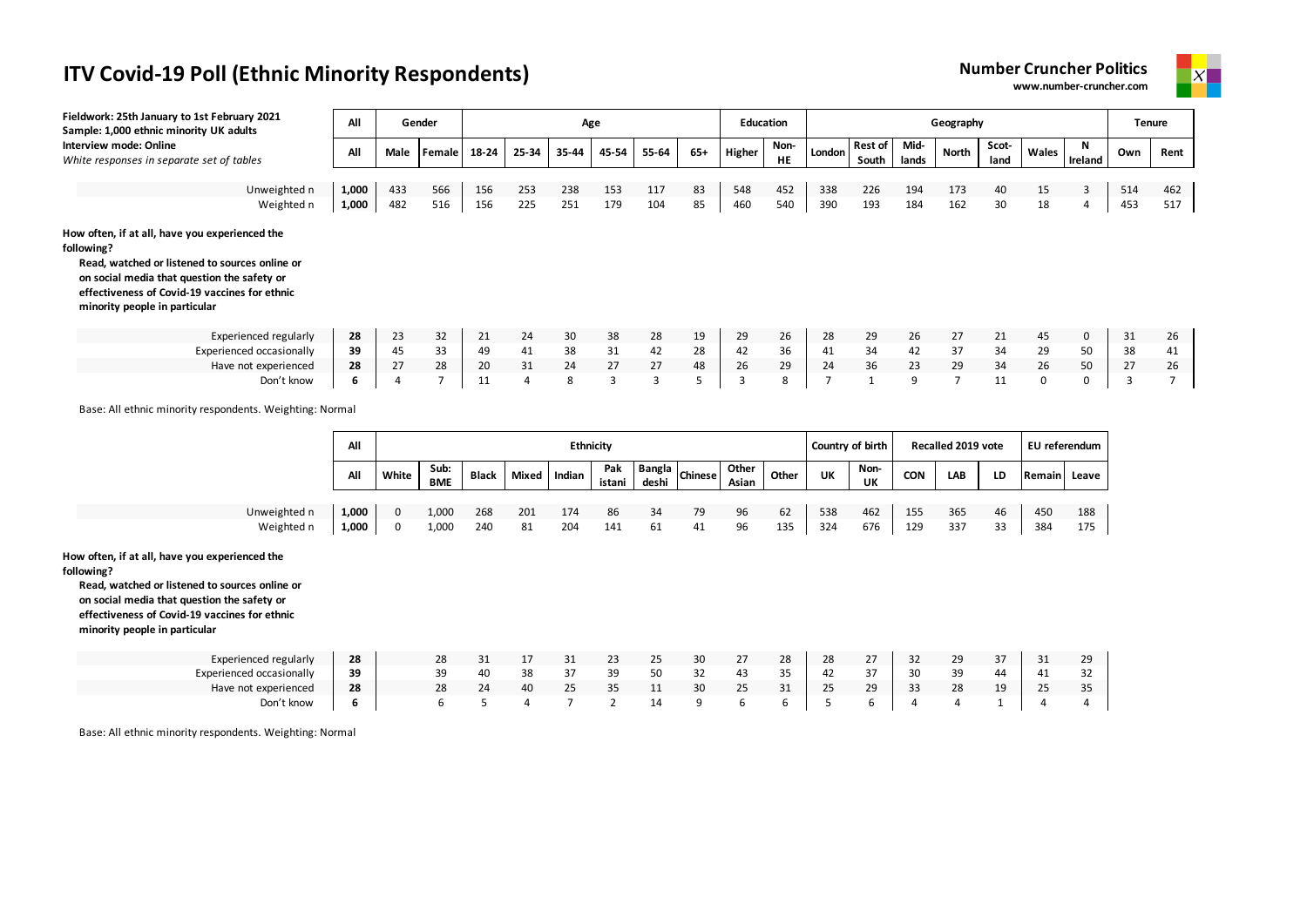



| Fieldwork: 25th January to 1st February 2021<br>Sample: 1,000 ethnic minority UK adults                                                                                                                                                         | All            |                | Gender             |            |                | Age              |                |                 |                | <b>Education</b> |            |                  |                         |               | Geography          |               |               |                     | <b>Tenure</b>  |                |
|-------------------------------------------------------------------------------------------------------------------------------------------------------------------------------------------------------------------------------------------------|----------------|----------------|--------------------|------------|----------------|------------------|----------------|-----------------|----------------|------------------|------------|------------------|-------------------------|---------------|--------------------|---------------|---------------|---------------------|----------------|----------------|
| Interview mode: Online<br>White responses in separate set of tables                                                                                                                                                                             | All            | Male           | Female             | 18-24      | 25-34          | 35-44            | 45-54          | 55-64           | $65+$          | Higher           | Non-<br>HE | London           | <b>Rest of</b><br>South | Mid-<br>lands | <b>North</b>       | Scot-<br>land | Wales         | Ν<br>Ireland        | Own            | Rent           |
| Unweighted n<br>Weighted n                                                                                                                                                                                                                      | 1,000<br>1,000 | 433<br>482     | 566<br>516         | 156<br>156 | 253<br>225     | 238<br>251       | 153<br>179     | 117<br>104      | 83<br>85       | 548<br>460       | 452<br>540 | 338<br>390       | 226<br>193              | 194<br>184    | 173<br>162         | 40<br>30      | 15<br>18      | 3<br>$\overline{a}$ | 514<br>453     | 462<br>517     |
| How often, if at all, have you experienced the<br>following?<br>Read, watched or listened to sources online or<br>on social media that question the safety or<br>effectiveness of Covid-19 vaccines for ethnic<br>minority people in particular |                |                |                    |            |                |                  |                |                 |                |                  |            |                  |                         |               |                    |               |               |                     |                |                |
| <b>Experienced regularly</b>                                                                                                                                                                                                                    | 28             | 23             | 32                 | 21         | 24             | 30               | 38             | 28              | 19             | 29               | 26         | 28               | 29                      | 26            | 27                 | 21            | 45            | 0                   | 31             | 26             |
| Experienced occasionally                                                                                                                                                                                                                        | 39             | 45             | 33                 | 49         | 41             | 38               | 31             | 42              | 28             | 42               | 36         | 41               | 34                      | 42            | 37                 | 34            | 29            | 50                  | 38             | 41             |
| Have not experienced                                                                                                                                                                                                                            | 28             | 27             | 28                 | 20         | 31             | 24               | 27             | 27              | 48             | 26               | 29         | 24               | 36                      | 23            | 29                 | 34            | 26            | 50                  | 27             | 26             |
| Don't know                                                                                                                                                                                                                                      | 6              | $\overline{4}$ | $\overline{7}$     | 11         | $\overline{4}$ | 8                | $\overline{3}$ | $\overline{3}$  | 5              | 3                | 8          | $\overline{7}$   | $\mathbf{1}$            | 9             | $\overline{7}$     | 11            | $\mathbf 0$   | $\mathbf 0$         | $\overline{3}$ | $\overline{7}$ |
| Base: All ethnic minority respondents. Weighting: Normal                                                                                                                                                                                        |                |                |                    |            |                |                  |                |                 |                |                  |            |                  |                         |               |                    |               |               |                     |                |                |
|                                                                                                                                                                                                                                                 | All            |                |                    |            |                | <b>Ethnicity</b> |                |                 |                |                  |            | Country of birth |                         |               | Recalled 2019 vote |               | EU referendum |                     |                |                |
|                                                                                                                                                                                                                                                 | All            | White          | Sub:<br><b>BME</b> | Black      | Mixed          | Indian           | Pak<br>istani  | Bangla<br>deshi | <b>Chinese</b> | Other<br>Asian   | Other      | UK               | Non-<br>UK              | <b>CON</b>    | LAB                | LD            | Remain        | Leave               |                |                |
| Unweighted n                                                                                                                                                                                                                                    | 1,000          | 0              | 1,000              | 268        | 201            | 174              | 86             | 34              | 79             | 96               | 62         | 538              | 462                     | 155           | 365                | 46            | 450           | 188                 |                |                |
| Weighted n                                                                                                                                                                                                                                      | 1,000          | 0              | 1,000              | 240        | 81             | 204              | 141            | 61              | 41             | 96               | 135        | 324              | 676                     | 129           | 337                | 33            | 384           | 175                 |                |                |
| How often, if at all, have you experienced the<br>following?<br>Read, watched or listened to sources online or<br>on social media that question the safety or<br>effectiveness of Covid-19 vaccines for ethnic                                  |                |                |                    |            |                |                  |                |                 |                |                  |            |                  |                         |               |                    |               |               |                     |                |                |

**minority people in particular**

| <b>Experienced regularly</b> | 28 | 28 | <u>. на с</u> |            | 23                   | 25 | 30 | 27 | 28 | 28 | $\mathcal{L}$<br>$\epsilon$ | 32        | 29 | $\sim$ $-$ | 31 | 29      |
|------------------------------|----|----|---------------|------------|----------------------|----|----|----|----|----|-----------------------------|-----------|----|------------|----|---------|
| Experienced occasionally     | 39 | 39 | 38            | 37         | 39                   | 50 | 32 | 43 | 35 | 42 | 37                          | 30        | 39 |            | 41 |         |
| Have not experienced         | 28 | 28 | 40            | $\sim$ $-$ | $\sim$ $-$<br>$\sim$ | .  | 30 | 25 | 31 | 25 | 29                          | - -<br>رر | 28 | 10.<br>ᅩ   | 25 | 25<br>ັ |
| Don't know                   |    |    |               |            |                      | 14 |    |    |    |    |                             |           |    |            |    |         |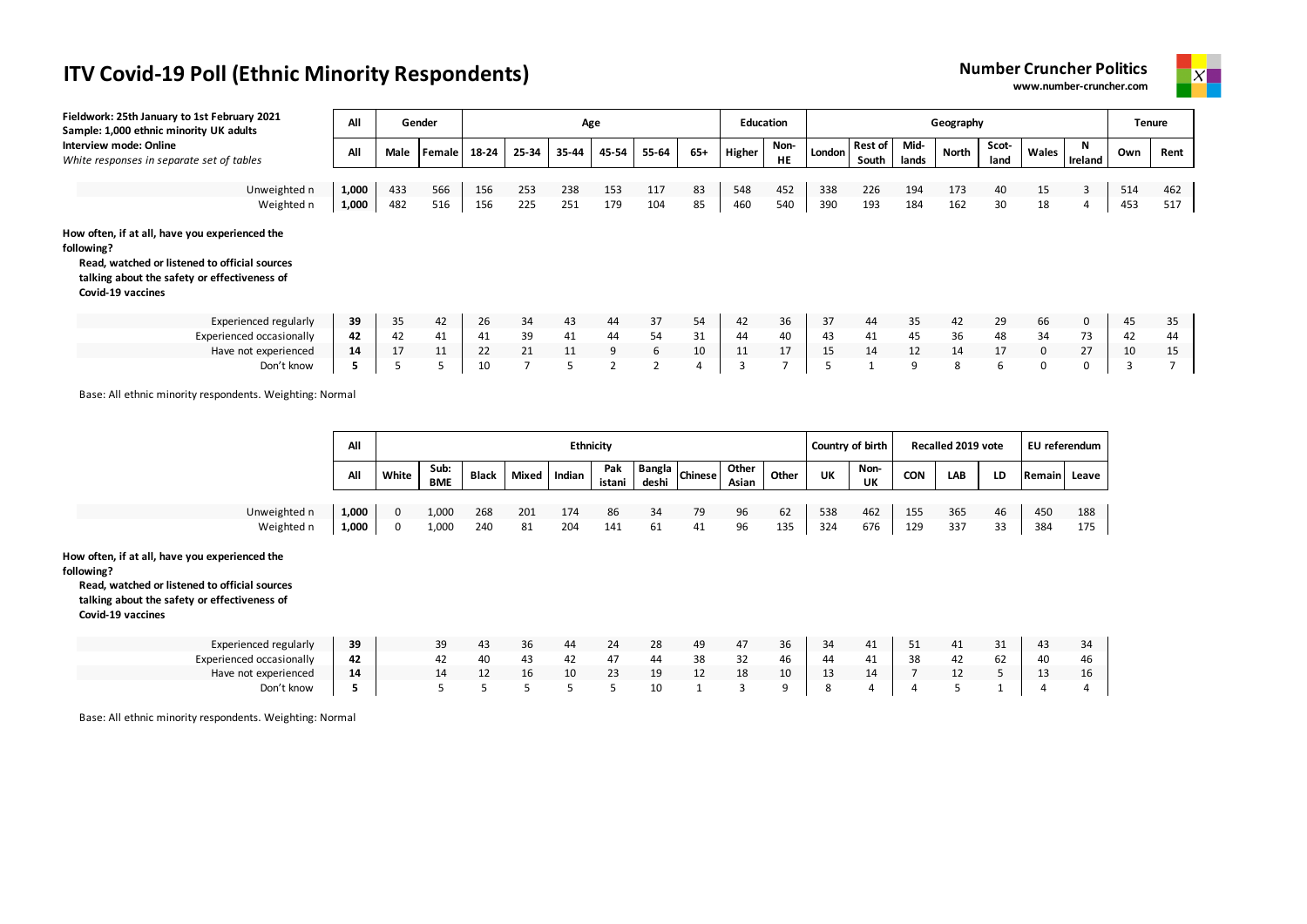



| Fieldwork: 25th January to 1st February 2021<br>Sample: 1,000 ethnic minority UK adults                                                                                            | All   |      | Gender |       |       |       | Age            |       |     |        | <b>Education</b>  |        |                         |               | Geography |               |              |             |     | <b>Tenure</b> |
|------------------------------------------------------------------------------------------------------------------------------------------------------------------------------------|-------|------|--------|-------|-------|-------|----------------|-------|-----|--------|-------------------|--------|-------------------------|---------------|-----------|---------------|--------------|-------------|-----|---------------|
| Interview mode: Online<br>White responses in separate set of tables                                                                                                                | All   | Male | Female | 18-24 | 25-34 | 35-44 | 45-54          | 55-64 | 65+ | Higher | Non-<br><b>HE</b> | London | <b>Rest of</b><br>South | Mid-<br>lands | North     | Scot-<br>land | Wales        | Ireland     | Own | Rent          |
|                                                                                                                                                                                    |       |      |        |       |       |       |                |       |     |        |                   |        |                         |               |           |               |              |             |     |               |
| Unweighted n                                                                                                                                                                       | 1,000 | 433  | 566    | 156   | 253   | 238   | 153            | 117   | 83  | 548    | 452               | 338    | 226                     | 194           | 173       | 40            | 15           | 3           | 514 | 462           |
| Weighted n                                                                                                                                                                         | 1,000 | 482  | 516    | 156   | 225   | 251   | 179            | 104   | 85  | 460    | 540               | 390    | 193                     | 184           | 162       | 30            | 18           |             | 453 | 517           |
| How often, if at all, have you experienced the<br>following?<br>Read, watched or listened to official sources<br>talking about the safety or effectiveness of<br>Covid-19 vaccines |       |      |        |       |       |       |                |       |     |        |                   |        |                         |               |           |               |              |             |     |               |
| <b>Experienced regularly</b>                                                                                                                                                       | 39    | 35   | 42     | 26    | 34    | 43    | 44             | 37    | 54  | 42     | 36                | 37     | 44                      | 35            | 42        | 29            | 66           | $\mathbf 0$ | 45  | 35            |
| <b>Experienced occasionally</b>                                                                                                                                                    | 42    | 42   | 41     | 41    | 39    | 41    | 44             | 54    | 31  | 44     | 40                | 43     | 41                      | 45            | 36        | 48            | 34           | 73          | 42  | 44            |
| Have not experienced                                                                                                                                                               | 14    | 17   | 11     | 22    | 21    | 11    | 9              | 6     | 10  | 11     | 17                | 15     | 14                      | 12            | 14        | 17            | $\mathbf{0}$ | 27          | 10  | 15            |
| Don't know                                                                                                                                                                         |       |      |        | 10    |       | 5     | $\overline{2}$ |       | 4   |        |                   |        |                         | 9             | 8         | 6             | 0            | $\Omega$    |     |               |

Base: All ethnic minority respondents. Weighting: Normal

|              | All   |       |                    |              |       |        | Ethnicity     |       |               |                |       |     | Country of birth |            | Recalled 2019 vote |    | EU referendum |       |
|--------------|-------|-------|--------------------|--------------|-------|--------|---------------|-------|---------------|----------------|-------|-----|------------------|------------|--------------------|----|---------------|-------|
|              | All   | White | Sub:<br><b>BME</b> | <b>Black</b> | Mixed | Indian | Pak<br>istani | deshi | angla chinese | Other<br>Asian | Other | UK  | Non-<br>UK       | <b>CON</b> | LAB                | LD | Remain        | Leave |
| Unweighted n | 1,000 |       | 1,000              | 268          | 201   | 174    | 86            | 34    | 79            | 96             | 62    | 538 | 462              | 155        | 365                | 46 | 450           | 188   |
| Weighted n   | 1,000 | 0     | 1,000              | 240          | 81    | 204    | 141           | 61    | -41           | 96             | 135   | 324 | 676              | 129        | 337                | 33 | 384           | 175   |

**How often, if at all, have you experienced the** 

**following?**

**Read, watched or listened to official sources talking about the safety or effectiveness of** 

**Covid-19 vaccines**

| Experienced regularly    | 39 | 43 | 36 |    | 24 | 28 | 49           | 4, | 36 | -34    | 41 | <u>J + </u> |        | ັ  | 43 |    |
|--------------------------|----|----|----|----|----|----|--------------|----|----|--------|----|-------------|--------|----|----|----|
| Experienced occasionally | 42 | 40 | 43 |    |    |    | $\sim$<br>38 | 32 | 46 |        | 41 | 38          |        | σZ | 40 |    |
| Have not experienced     | 14 |    | īр | 10 | 23 | 19 |              | 18 | 10 | $\sim$ |    |             | $\sim$ |    |    | 16 |
| Don't know               |    |    |    |    |    | 10 |              |    |    |        |    |             |        |    |    |    |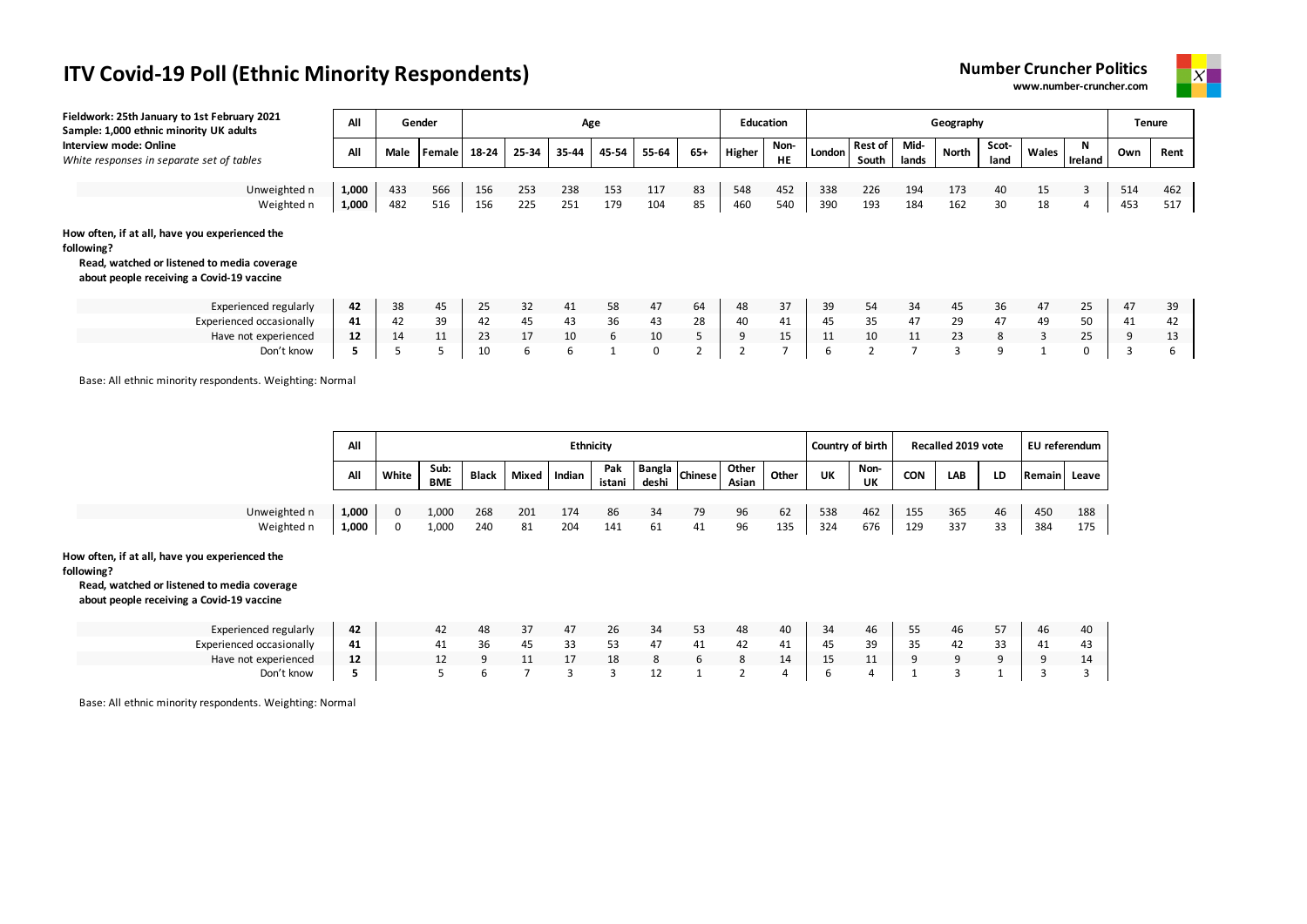



| Fieldwork: 25th January to 1st February 2021<br>Sample: 1,000 ethnic minority UK adults                                                                  | All   |      | Gender | Age   |       |       |       |       |     | Education |            |        |                         |               | Geography    |               |       |         | <b>Tenure</b> |      |
|----------------------------------------------------------------------------------------------------------------------------------------------------------|-------|------|--------|-------|-------|-------|-------|-------|-----|-----------|------------|--------|-------------------------|---------------|--------------|---------------|-------|---------|---------------|------|
| Interview mode: Online<br>White responses in separate set of tables                                                                                      | All   | Male | Female | 18-24 | 25-34 | 35-44 | 45-54 | 55-64 | 65+ | Higher    | Non-<br>HE | London | <b>Rest of</b><br>South | Mid-<br>lands | <b>North</b> | Scot-<br>land | Wales | Ireland | Own           | Rent |
|                                                                                                                                                          |       |      |        |       |       |       |       |       |     |           |            |        |                         |               |              |               |       |         |               |      |
| Unweighted n                                                                                                                                             | 1,000 | 433  | 566    | 156   | 253   | 238   | 153   | 117   | 83  | 548       | 452        | 338    | 226                     | 194           | 173          | 40            | 15    | 3       | 514           | 462  |
| Weighted n                                                                                                                                               | 1,000 | 482  | 516    | 156   | 225   | 251   | 179   | 104   | 85  | 460       | 540        | 390    | 193                     | 184           | 162          | 30            | 18    | 4       | 453           | 517  |
| How often, if at all, have you experienced the<br>following?<br>Read, watched or listened to media coverage<br>about people receiving a Covid-19 vaccine |       |      |        |       |       |       |       |       |     |           |            |        |                         |               |              |               |       |         |               |      |
| <b>Experienced regularly</b>                                                                                                                             | 42    | 38   | 45     | 25    | 32    | 41    | 58    | 47    | 64  | 48        | 37         | 39     | 54                      | 34            | 45           | 36            | 47    | 25      | 47            | 39   |
| <b>Experienced occasionally</b>                                                                                                                          | 41    | 42   | 39     | 42    | 45    | 43    | 36    | 43    | 28  | 40        | 41         | 45     | 35                      | 47            | 29           | 47            | 49    | 50      | 41            | 42   |
| Have not experienced                                                                                                                                     | 12    | 14   | 11     | 23    | 17    | 10    | 6     | 10    |     | 9         | 15         | 11     | 10                      | 11            | 23           | 8             | 3     | 25      | 9             | 13   |
| Don't know                                                                                                                                               | 5     |      |        | 10    | 6     | 6     |       | 0     |     |           | -          | 6      |                         |               | 3            | 9             |       |         |               | ь    |

Base: All ethnic minority respondents. Weighting: Normal

|              | All   |       |                    |              |       | <b>Ethnicity</b> |               |       |                |                |       |     | Country of birth |            | Recalled 2019 vote |    | EU referendum |         |
|--------------|-------|-------|--------------------|--------------|-------|------------------|---------------|-------|----------------|----------------|-------|-----|------------------|------------|--------------------|----|---------------|---------|
|              | All   | White | Sub:<br><b>BME</b> | <b>Black</b> | Mixed | Indian           | Pak<br>istani | deshi | Bangla Chinese | Other<br>Asian | Other | UK  | Non-<br>UK       | <b>CON</b> | LAB                | LD | <b>Remain</b> | l Leave |
| Unweighted n | 1,000 |       | 1,000              | 268          | 201   | 174              | 86            | 34    | 79             | 96             | 62    | 538 | 462              | 155        | 365                | 46 | 450           | 188     |
| Weighted n   | 1,000 |       | 1,000              | 240          | 81    | 204              | 141           | 61    | 41             | 96             | 135   | 324 | 676              | 129        | 337                | 33 | 384           | 175     |

#### **How often, if at all, have you experienced the**

**following?**

#### **Read, watched or listened to media coverage about people receiving a Covid-19 vaccine**

| Experienced regularly    | 42 | 47 | 48 | 37 | 47 | ۷b | 34 | ັ  | 48 | 40 | -34       | 46       | ر ر | 46 | ، ب         | 46 |           |
|--------------------------|----|----|----|----|----|----|----|----|----|----|-----------|----------|-----|----|-------------|----|-----------|
| Experienced occasionally | 41 |    | 36 | 45 |    | ヽ≺ | 47 | 41 | 42 | 41 | 45        | 3d<br>رر | 35  | 4∠ | $\sim$<br>ັ | 41 |           |
| Have not experienced     | 12 |    |    |    |    | 18 |    |    |    | 14 | - 15<br>ᅩ |          |     |    |             |    | <b>14</b> |
| Don't know               |    |    |    |    |    |    | ᅩ  |    |    |    |           |          |     |    |             |    |           |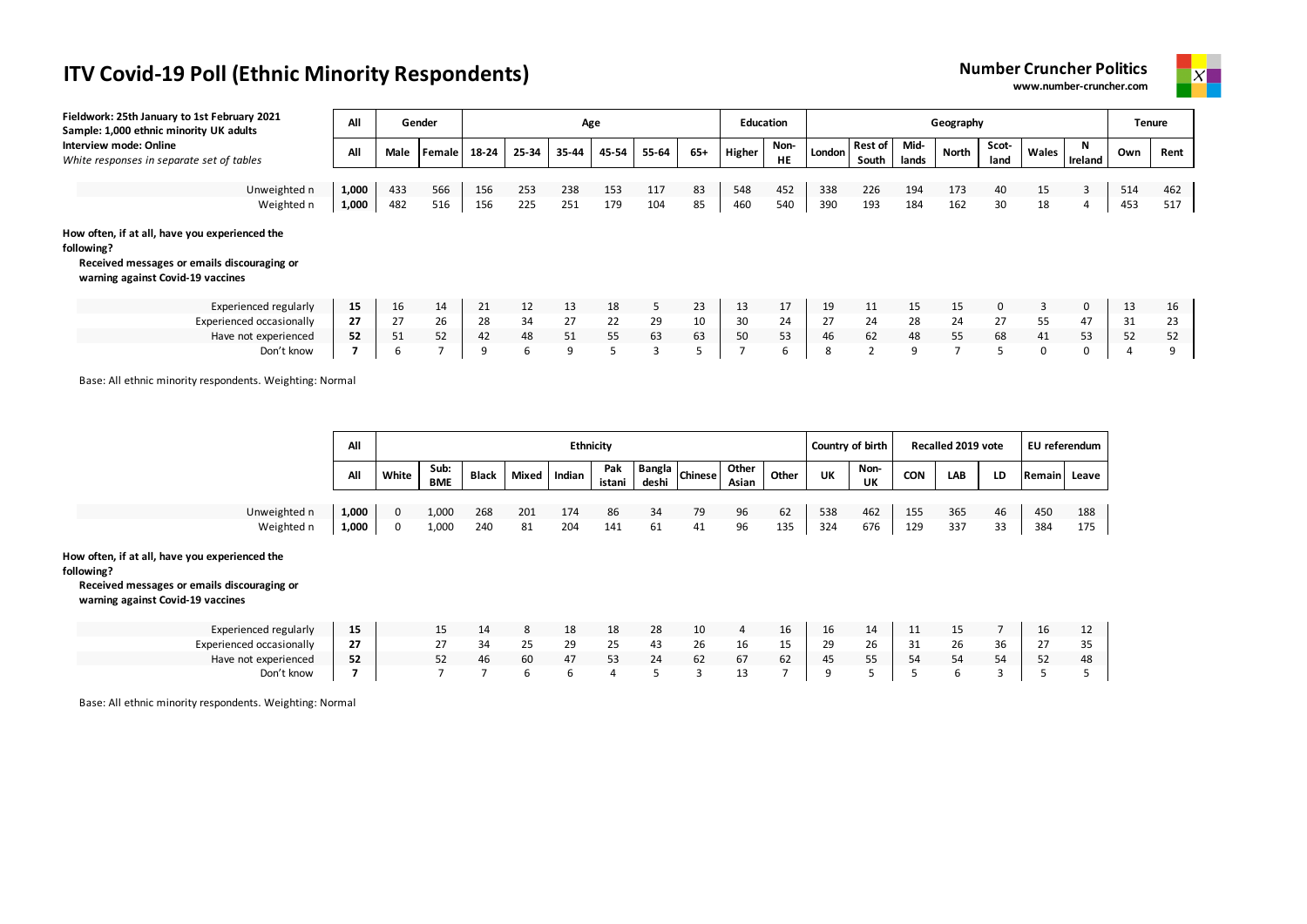



| Fieldwork: 25th January to 1st February 2021<br>Sample: 1,000 ethnic minority UK adults                                                          | All   |      | Gender        | Age      |       |       |               |       |       |        | <b>Education</b>  |        |                         |               | Geography |               |       |              |     | Tenure |
|--------------------------------------------------------------------------------------------------------------------------------------------------|-------|------|---------------|----------|-------|-------|---------------|-------|-------|--------|-------------------|--------|-------------------------|---------------|-----------|---------------|-------|--------------|-----|--------|
| Interview mode: Online<br>White responses in separate set of tables                                                                              | All   | Male | <b>Female</b> | 18-24    | 25-34 | 35-44 | 45-54         | 55-64 | $65+$ | Higher | Non-<br><b>HE</b> | London | <b>Rest of</b><br>South | Mid-<br>lands | North     | Scot-<br>land | Wales | N<br>Ireland | Own | Rent   |
|                                                                                                                                                  |       |      |               |          |       |       |               |       |       |        |                   |        |                         |               |           |               |       |              |     |        |
| Unweighted n                                                                                                                                     | 1,000 | 433  | 566           | 156      | 253   | 238   | 153           | 117   | 83    | 548    | 452               | 338    | 226                     | 194           | 173       | 40            | 15    | 3            | 514 | 462    |
| Weighted n                                                                                                                                       | 1,000 | 482  | 516           | 156      | 225   | 251   | 179           | 104   | 85    | 460    | 540               | 390    | 193                     | 184           | 162       | 30            | 18    | 4            | 453 | 517    |
| How often, if at all, have you experienced the<br>following?<br>Received messages or emails discouraging or<br>warning against Covid-19 vaccines |       |      |               |          |       |       |               |       |       |        |                   |        |                         |               |           |               |       |              |     |        |
| Experienced regularly                                                                                                                            | 15    | 16   | 14            | 21       | 12    | 13    | 18            | 5     | 23    | 13     | 17                | 19     | 11                      | 15            | 15        | $\Omega$      | 3     | 0            | 13  | 16     |
| Experienced occasionally                                                                                                                         | 27    | 27   | 26            | 28       | 34    | 27    | 22            | 29    | 10    | 30     | 24                | 27     | 24                      | 28            | 24        | 27            | 55    | 47           | 31  | 23     |
| Have not experienced                                                                                                                             | 52    | 51   | 52            | 42       | 48    | 51    | 55            | 63    | 63    | 50     | 53                | 46     | 62                      | 48            | 55        | 68            | 41    | 53           | 52  | 52     |
| Don't know                                                                                                                                       |       | 6    |               | $\Omega$ | 6     | 9     | $\mathcal{D}$ | 3     |       |        | b                 | 8      | $\overline{2}$          | 9             |           | 5             | 0     | 0            |     |        |

Base: All ethnic minority respondents. Weighting: Normal

|              | All   |       |                    |              |       | <b>Ethnicity</b> |               |       |                             |                |       |     | Country of birth |     | Recalled 2019 vote |    | EU referendum |     |
|--------------|-------|-------|--------------------|--------------|-------|------------------|---------------|-------|-----------------------------|----------------|-------|-----|------------------|-----|--------------------|----|---------------|-----|
|              | All   | White | Sub:<br><b>BME</b> | <b>Black</b> | Mixed | Indian           | Pak<br>istani | deshi | <sup>-</sup> Bangla Chinese | Other<br>Asian | Other | UK  | Non-<br>UK       | CON | LAB                | LD | Remain Leave  |     |
|              |       |       |                    |              |       |                  |               |       |                             |                |       |     |                  |     |                    |    |               |     |
| Unweighted n | 1,000 | O     | 1,000              | 268          | 201   | 174              | 86            | 34    | 79                          | 96             | 62    | 538 | 462              | 155 | 365                | 46 | 450           | 188 |
| Weighted n   | 1,000 | 0     | 1,000              | 240          | 81    | 204              | 141           | 61    |                             | 96             | 135   | 324 | 676              | 129 | 337                | 33 | 384           | 175 |

#### **How often, if at all, have you experienced the**

**following?**

#### **Received messages or emails discouraging or warning against Covid-19 vaccines**

| Experienced regularly    | 15           |                        |     |    | 18 | 18               | 28 | 10 |    | 16           | ïр | 14           | <b>. .</b> | <b></b> |    | Ίp     | ΠZ     |
|--------------------------|--------------|------------------------|-----|----|----|------------------|----|----|----|--------------|----|--------------|------------|---------|----|--------|--------|
| Experienced occasionally | $\sim$<br>27 | $\sim$ $-$<br><u>.</u> | -34 | 25 | 29 | $\sim$ $-$<br>25 | 43 | ۷b | TO | --           | 20 | $\sim$<br>۷b | ັ          | 26      | Кh | $\sim$ | $\sim$ |
| Have not experienced     | 52           |                        | 46  | 60 |    | 53               |    | 62 | b/ | $\sim$<br>62 | 45 |              | 54         |         |    | 52     | 48     |
| Don't know               |              |                        |     |    |    |                  |    |    |    |              |    |              |            |         |    |        |        |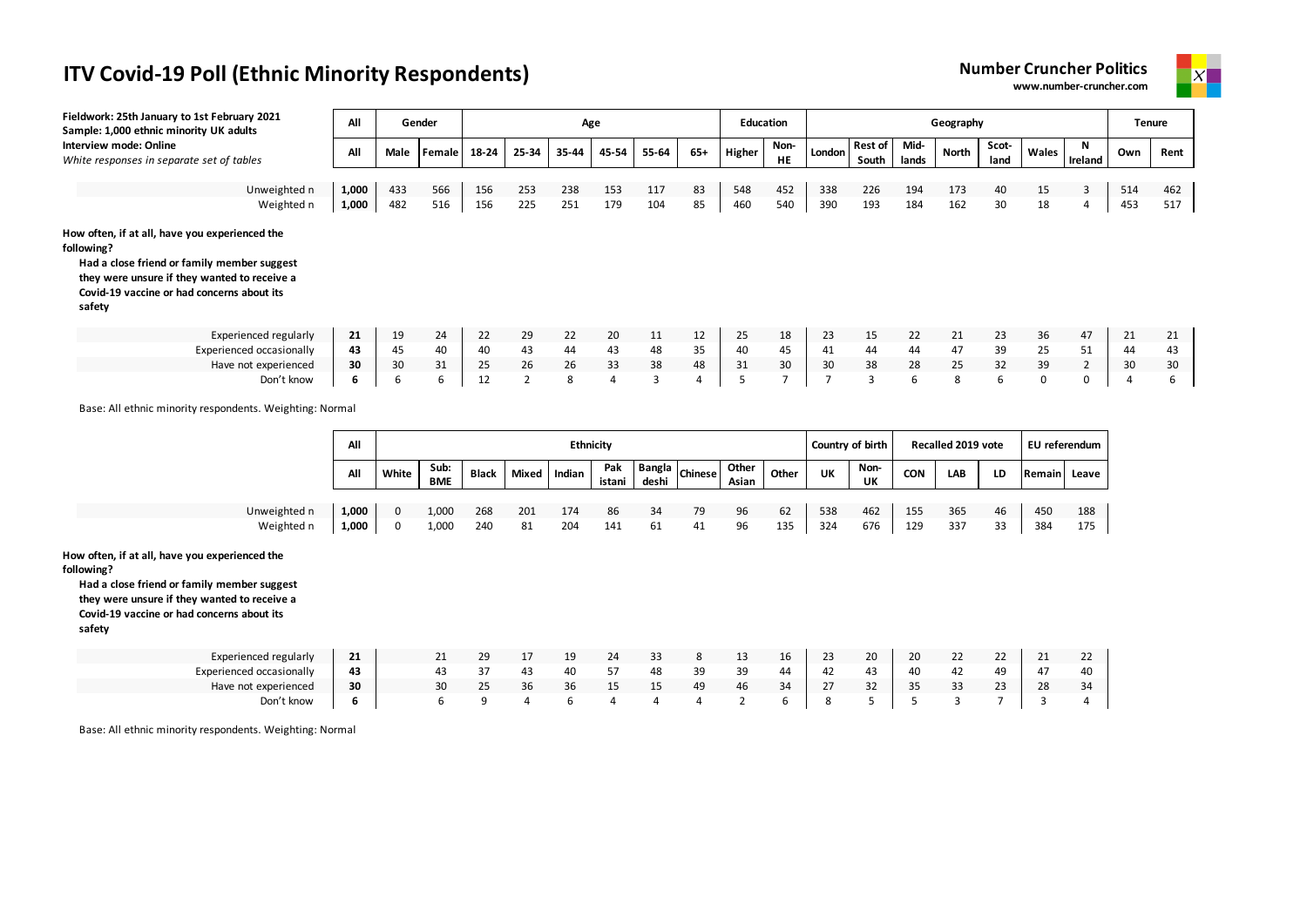



| Fieldwork: 25th January to 1st February 2021<br>Sample: 1,000 ethnic minority UK adults                                                                                                                             | All            |            | Gender     |            |                |            | Age        |            |                | <b>Education</b> |            |                |                         |               | Geography    |               |             |                |                | Tenure     |
|---------------------------------------------------------------------------------------------------------------------------------------------------------------------------------------------------------------------|----------------|------------|------------|------------|----------------|------------|------------|------------|----------------|------------------|------------|----------------|-------------------------|---------------|--------------|---------------|-------------|----------------|----------------|------------|
| Interview mode: Online<br>White responses in separate set of tables                                                                                                                                                 | All            | Male       | Female     | 18-24      | 25-34          | 35-44      | 45-54      | 55-64      | $65+$          | Higher           | Non-<br>HE | London         | <b>Rest of</b><br>South | Mid-<br>lands | <b>North</b> | Scot-<br>land | Wales       | N<br>Ireland   | Own            | Rent       |
| Unweighted n<br>Weighted n                                                                                                                                                                                          | 1,000<br>1,000 | 433<br>482 | 566<br>516 | 156<br>156 | 253<br>225     | 238<br>251 | 153<br>179 | 117<br>104 | 83<br>85       | 548<br>460       | 452<br>540 | 338<br>390     | 226<br>193              | 194<br>184    | 173<br>162   | 40<br>30      | 15<br>18    | 3<br>4         | 514<br>453     | 462<br>517 |
| How often, if at all, have you experienced the<br>following?<br>Had a close friend or family member suggest<br>they were unsure if they wanted to receive a<br>Covid-19 vaccine or had concerns about its<br>safety |                |            |            |            |                |            |            |            |                |                  |            |                |                         |               |              |               |             |                |                |            |
| <b>Experienced regularly</b>                                                                                                                                                                                        | 21             | 19         | 24         | 22         | 29             | 22         | 20         | 11         | 12             | 25               | 18         | 23             | 15                      | 22            | 21           | 23            | 36          | 47             | 21             | 21         |
| <b>Experienced occasionally</b>                                                                                                                                                                                     | 43             | 45         | 40         | 40         | 43             | 44         | 43         | 48         | 35             | 40               | 45         | 41             | 44                      | 44            | 47           | 39            | 25          | 51             | 44             | 43         |
| Have not experienced                                                                                                                                                                                                | 30             | 30         | 31         | 25         | 26             | 26         | 33         | 38         | 48             | 31               | 30         | 30             | 38                      | 28            | 25           | 32            | 39          | $\overline{2}$ | 30             | 30         |
| Don't know                                                                                                                                                                                                          | 6              | 6          | 6          | 12         | $\overline{2}$ | 8          | 4          | 3          | $\overline{4}$ | 5                | 7          | $\overline{7}$ | $\overline{3}$          | 6             | 8            | 6             | $\mathbf 0$ | 0              | $\overline{4}$ | ь          |

Base: All ethnic minority respondents. Weighting: Normal

|              | All   |       |                    |              |       | <b>Ethnicity</b> |               |       |                       |                |       |     | Country of birth |            | Recalled 2019 vote |    | EU referendum |       |
|--------------|-------|-------|--------------------|--------------|-------|------------------|---------------|-------|-----------------------|----------------|-------|-----|------------------|------------|--------------------|----|---------------|-------|
|              | All   | White | Sub:<br><b>BME</b> | <b>Black</b> | Mixed | Indian           | Pak<br>istani | deshi | hangla <i>Chinese</i> | Other<br>Asian | Other | UK  | Non-<br>UK       | <b>CON</b> | LAB                | LD | <b>Remain</b> | Leave |
| Unweighted n | 1,000 |       | 1,000              | 268          | 201   | 174              | 86            | 34    | 79                    | 96             | 62    | 538 | 462              | 155        | 365                | 46 | 450           | 188   |
| Weighted n   | 1,000 | 0     | 1,000              | 240          | 81    | 204              | 141           | 61    | 41                    | 96             | 135   | 324 | 676              | 129        | 337                | 33 | 384           | 175   |

**How often, if at all, have you experienced the** 

**following?**

**Had a close friend or family member suggest they were unsure if they wanted to receive a Covid-19 vaccine or had concerns about its safety**

| Experienced regularly    | $\sim$<br>21 | <u>_ _</u> | 29               |              | --           | 24 |                      |    | ᅩ  | 16 | 23 | 20     | 20 | $\mathbf{a}$<br><u>__</u> | $\sim$<br><u>__</u> | $\mathbf{A}$<br>-- | <u>__</u> |
|--------------------------|--------------|------------|------------------|--------------|--------------|----|----------------------|----|----|----|----|--------|----|---------------------------|---------------------|--------------------|-----------|
| Experienced occasionally | 43           |            |                  | 43           | 40           |    | 48                   | 39 | 39 | 44 | 47 | 43     | 40 | 44                        | 49                  | 4 <sub>l</sub>     |           |
| Have not experienced     | 30           | 30         | $\sim$ $-$<br>25 | $\sim$<br>36 | $\sim$<br>56 |    | $\sim$ $\sim$<br>ר ו | 49 | 46 | 34 |    | $\sim$ | 35 | $\mathbf{a}$<br>JJ        | $\sim$<br>ت         | 28                 | 34        |
| Don't know               |              |            |                  |              |              |    |                      |    |    |    |    |        |    |                           |                     |                    |           |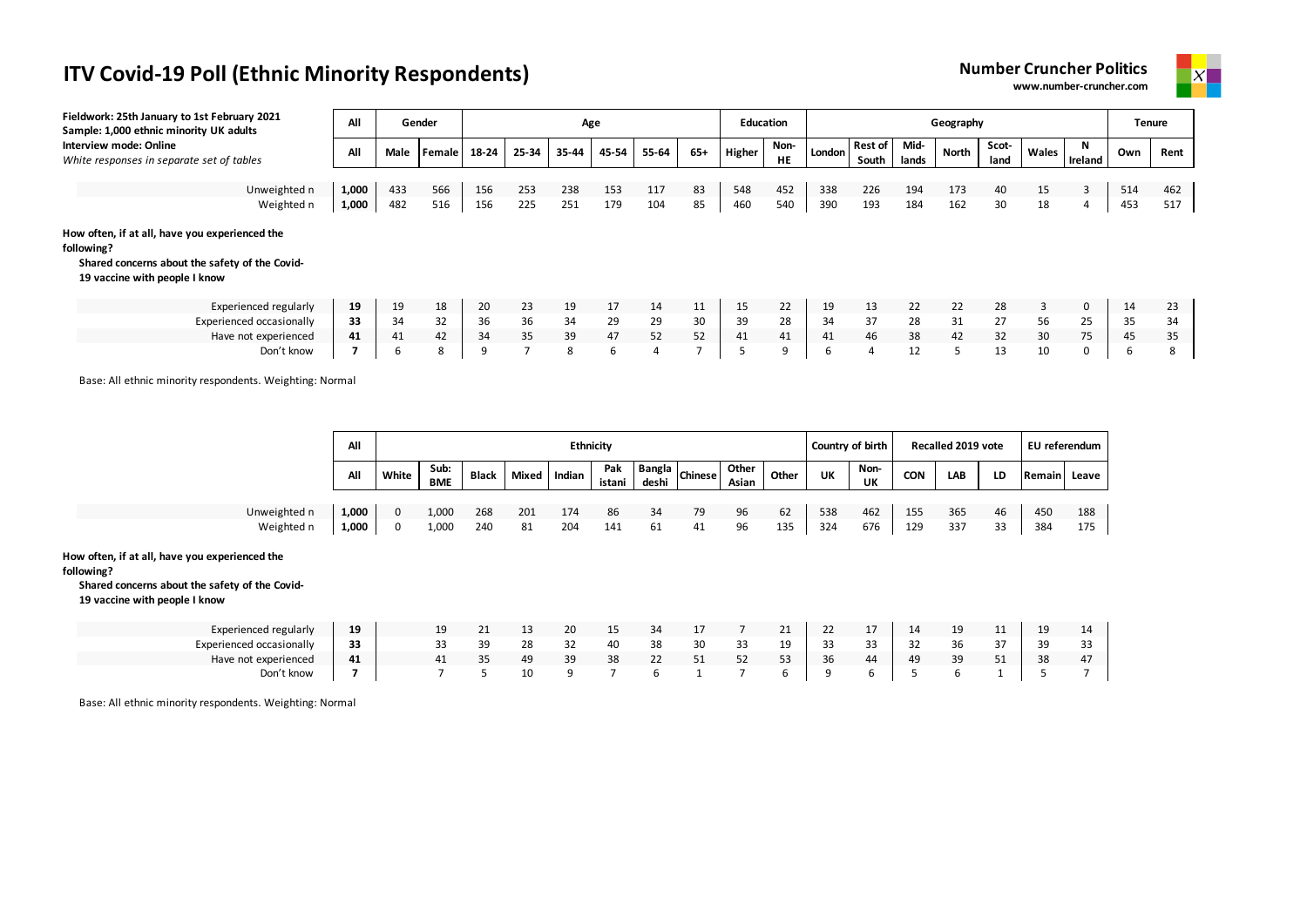| <b>Number Cruncher Politics</b> |  |
|---------------------------------|--|
| www.number-cruncher.com         |  |



| Fieldwork: 25th January to 1st February 2021<br>Sample: 1,000 ethnic minority UK adults                                                         | All   |      | Gender |       |       | Age   |       |       |       | <b>Education</b> |            |        |                         |               | Geography    |               |       |              | <b>Tenure</b> |      |
|-------------------------------------------------------------------------------------------------------------------------------------------------|-------|------|--------|-------|-------|-------|-------|-------|-------|------------------|------------|--------|-------------------------|---------------|--------------|---------------|-------|--------------|---------------|------|
| Interview mode: Online<br>White responses in separate set of tables                                                                             | All   | Male | Female | 18-24 | 25-34 | 35-44 | 45-54 | 55-64 | $65+$ | Higher           | Non-<br>HE | London | <b>Rest of</b><br>South | Mid-<br>lands | <b>North</b> | Scot-<br>land | Wales | N<br>Ireland | Own           | Rent |
|                                                                                                                                                 |       |      |        |       |       |       |       |       |       |                  |            |        |                         |               |              |               |       |              |               |      |
| Unweighted n                                                                                                                                    | 1,000 | 433  | 566    | 156   | 253   | 238   | 153   | 117   | 83    | 548              | 452        | 338    | 226                     | 194           | 173          | 40            | 15    | 3            | 514           | 462  |
| Weighted n                                                                                                                                      | 1,000 | 482  | 516    | 156   | 225   | 251   | 179   | 104   | 85    | 460              | 540        | 390    | 193                     | 184           | 162          | 30            | 18    | 4            | 453           | 517  |
| How often, if at all, have you experienced the<br>following?<br>Shared concerns about the safety of the Covid-<br>19 vaccine with people I know |       |      |        |       |       |       |       |       |       |                  |            |        |                         |               |              |               |       |              |               |      |
| Experienced regularly                                                                                                                           | 19    | 19   | 18     | 20    | 23    | 19    | 17    | 14    | 11    | 15               | 22         | 19     | 13                      | 22            | 22           | 28            | 3     | $\mathbf 0$  | 14            | 23   |
| Experienced occasionally                                                                                                                        | 33    | 34   | 32     | 36    | 36    | 34    | 29    | 29    | 30    | 39               | 28         | 34     | 37                      | 28            | 31           | 27            | 56    | 25           | 35            | 34   |
| Have not experienced                                                                                                                            | 41    | 41   | 42     | 34    | 35    | 39    | 47    | 52    | 52    | 41               | 41         | 41     | 46                      | 38            | 42           | 32            | 30    | 75           | 45            | 35   |
| Don't know                                                                                                                                      |       | 6    | 8      | 9     |       | 8     | 6     | 4     |       |                  | 9          | 6      | $\overline{a}$          | 12            | 5            | 13            | 10    | 0            | b             | 8    |

Base: All ethnic minority respondents. Weighting: Normal

|              | All   |       |                    |              |       | <b>Ethnicity</b> |               |       |                          |                |       |     | Country of birth |     | Recalled 2019 vote |                               | EU referendum |       |
|--------------|-------|-------|--------------------|--------------|-------|------------------|---------------|-------|--------------------------|----------------|-------|-----|------------------|-----|--------------------|-------------------------------|---------------|-------|
|              | All   | White | Sub:<br><b>BME</b> | <b>Black</b> | Mixed | Indian           | Pak<br>istani | deshi | <b>Example 1</b> Chinese | Other<br>Asian | Other | UK  | Non-<br>UK       | CON | LAB                | LD                            | Remain        | Leave |
| Unweighted n | 1,000 |       | 1,000              | 268          | 201   | 174              | 86            | 34    | 79                       | 96             | 62    | 538 | 462              | 155 | 365                | 46                            | 450           | 188   |
| Weighted n   | 1,000 |       | 1,000              | 240          | 81    | 204              | 141           | 61    | 41                       | 96             | 135   | 324 | 676              | 129 | 337                | $\mathbf{\overline{1}}$<br>33 | 384           | 175   |

#### **How often, if at all, have you experienced the**

#### **following?**

**Shared concerns about the safety of the Covid-**

**19 vaccine with people I know**

| Experienced regularly    | 19 |  |    |    | 20 | -- | 34           |    |         | 21             | ᅩ            |           | 14 | 1 <sub>Q</sub><br>ᅩ | . . | 19 |                |
|--------------------------|----|--|----|----|----|----|--------------|----|---------|----------------|--------------|-----------|----|---------------------|-----|----|----------------|
| Experienced occasionally | 33 |  | 30 | 28 | 32 | 40 | 38           | 30 | - - - - | 1 <sub>Q</sub> | $\sim$<br>رر | --        | 32 | 36                  |     | 39 |                |
| Have not experienced     | 41 |  | ≺∽ | 49 | 39 | 38 | $\sim$<br>22 | ັ  | 52      | 52<br>ر ر      | 36           | $\Lambda$ | 49 | 39<br>ັ             |     | 38 | 4 <sub>l</sub> |
| Don't know               |    |  |    | 10 |    |    |              |    |         |                |              |           |    |                     |     |    |                |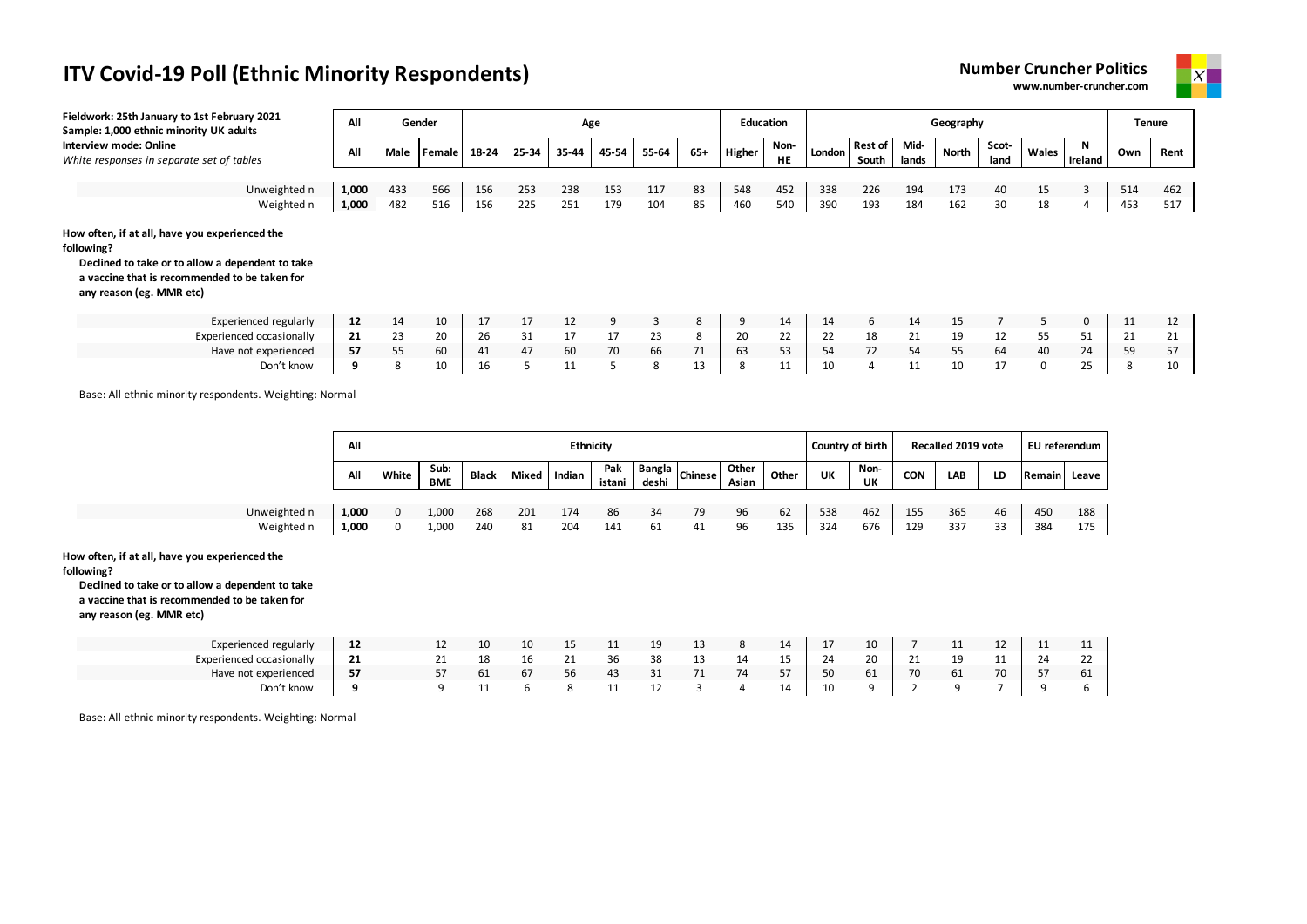



| Fieldwork: 25th January to 1st February 2021<br>Sample: 1,000 ethnic minority UK adults                                                                                                       | All   |      | Gender |       |       |       | Age   |       |     |               | <b>Education</b>  |        |                    |               | Geography |               |              |              | <b>Tenure</b> |      |
|-----------------------------------------------------------------------------------------------------------------------------------------------------------------------------------------------|-------|------|--------|-------|-------|-------|-------|-------|-----|---------------|-------------------|--------|--------------------|---------------|-----------|---------------|--------------|--------------|---------------|------|
| Interview mode: Online<br>White responses in separate set of tables                                                                                                                           | All   | Male | Female | 18-24 | 25-34 | 35-44 | 45-54 | 55-64 | 65+ | <b>Higher</b> | Non-<br><b>HE</b> | London | Rest of  <br>South | Mid-<br>lands | North     | Scot-<br>land | Wales        | N<br>Ireland | Own           | Rent |
|                                                                                                                                                                                               |       |      |        |       |       |       |       |       |     |               |                   |        |                    |               |           |               |              |              |               |      |
| Unweighted n                                                                                                                                                                                  | 1,000 | 433  | 566    | 156   | 253   | 238   | 153   | 117   | 83  | 548           | 452               | 338    | 226                | 194           | 173       | 40            | 15           | 3            | 514           | 462  |
| Weighted n                                                                                                                                                                                    | 1,000 | 482  | 516    | 156   | 225   | 251   | 179   | 104   | 85  | 460           | 540               | 390    | 193                | 184           | 162       | 30            | 18           | 4            | 453           | 517  |
| How often, if at all, have you experienced the<br>following?<br>Declined to take or to allow a dependent to take<br>a vaccine that is recommended to be taken for<br>any reason (eg. MMR etc) |       |      |        |       |       |       |       |       |     |               |                   |        |                    |               |           |               |              |              |               |      |
| <b>Experienced regularly</b>                                                                                                                                                                  | 12    | 14   | 10     | 17    | 17    | 12    | 9     | 3     | 8   | 9             | 14                | 14     | 6                  | 14            | 15        |               | 5            | $\mathbf 0$  | 11            | 12   |
| Experienced occasionally                                                                                                                                                                      | 21    | 23   | 20     | 26    | 31    | 17    | 17    | 23    | 8   | 20            | 22                | 22     | 18                 | 21            | 19        | 12            | 55           | 51           | 21            | 21   |
| Have not experienced                                                                                                                                                                          | 57    | 55   | 60     | 41    | 47    | 60    | 70    | 66    | 71  | 63            | 53                | 54     | 72                 | 54            | 55        | 64            | 40           | 24           | 59            | 57   |
| Don't know                                                                                                                                                                                    | 9     | 8    | 10     | 16    |       | 11    | 5     | 8     | 13  | 8             | 11                | 10     | 4                  | 11            | 10        | 17            | $\mathbf{0}$ | 25           | 8             | 10   |

Base: All ethnic minority respondents. Weighting: Normal

|              | All   |       |                    |              |       | <b>Ethnicity</b> |               |       |                        |                |       |     | Country of birth |            | Recalled 2019 vote |    | EU referendum |       |
|--------------|-------|-------|--------------------|--------------|-------|------------------|---------------|-------|------------------------|----------------|-------|-----|------------------|------------|--------------------|----|---------------|-------|
|              | All   | White | Sub:<br><b>BME</b> | <b>Black</b> | Mixed | Indian           | Pak<br>istani | deshi | nok   Bangla   Chinese | Other<br>Asian | Other | UK  | Non-<br>UK       | <b>CON</b> | LAB                | LD | Remain        | Leave |
|              |       |       |                    |              |       |                  |               |       |                        |                |       |     |                  |            |                    |    |               |       |
| Unweighted n | 1,000 | 0     | 1,000              | 268          | 201   | 174              | 86            | 34    | 79                     | 96             | 62    | 538 | 462              | 155        | 365                | 46 | 450           | 188   |
| Weighted n   | 1,000 | 0     | 1,000              | 240          | 81    | 204              | 141           | 61    | 41                     | 96             | 135   | 324 | 676              | 129        | 337                | 33 | 384           | 175   |

#### **How often, if at all, have you experienced the**

**following?**

**Declined to take or to allow a dependent to take a vaccine that is recommended to be taken for** 

**any reason (eg. MMR etc)**

| Experienced regularly    | ᅭ  | ᅩᄼ |     | 10 | $\sim$ $\sim$<br>-- |    | -- | ᅩ  |           | 14  | <b>.</b> | 10           |                                | <b></b> |    | <b></b> | ᅭ           |
|--------------------------|----|----|-----|----|---------------------|----|----|----|-----------|-----|----------|--------------|--------------------------------|---------|----|---------|-------------|
| Experienced occasionally | 44 |    | 18. | тp | $\sim$              | 36 | 38 | ᅩ  | <b>14</b> | $-$ | 24       | $\sim$<br>ZU | <u>_ _</u>                     | 10<br>ᅩ |    | 24      | $\sim$<br>ᅩ |
| Have not experienced     | 57 |    | 61  | 67 | 56                  | 43 | 31 | 74 | 74        | 57  | 50       | 61           | $\overline{\phantom{a}}$<br>70 | 61      | 70 |         | 61          |
| Don't know               |    |    |     |    |                     |    | ᅩᄼ |    |           | 14  | 10       |              |                                |         |    |         |             |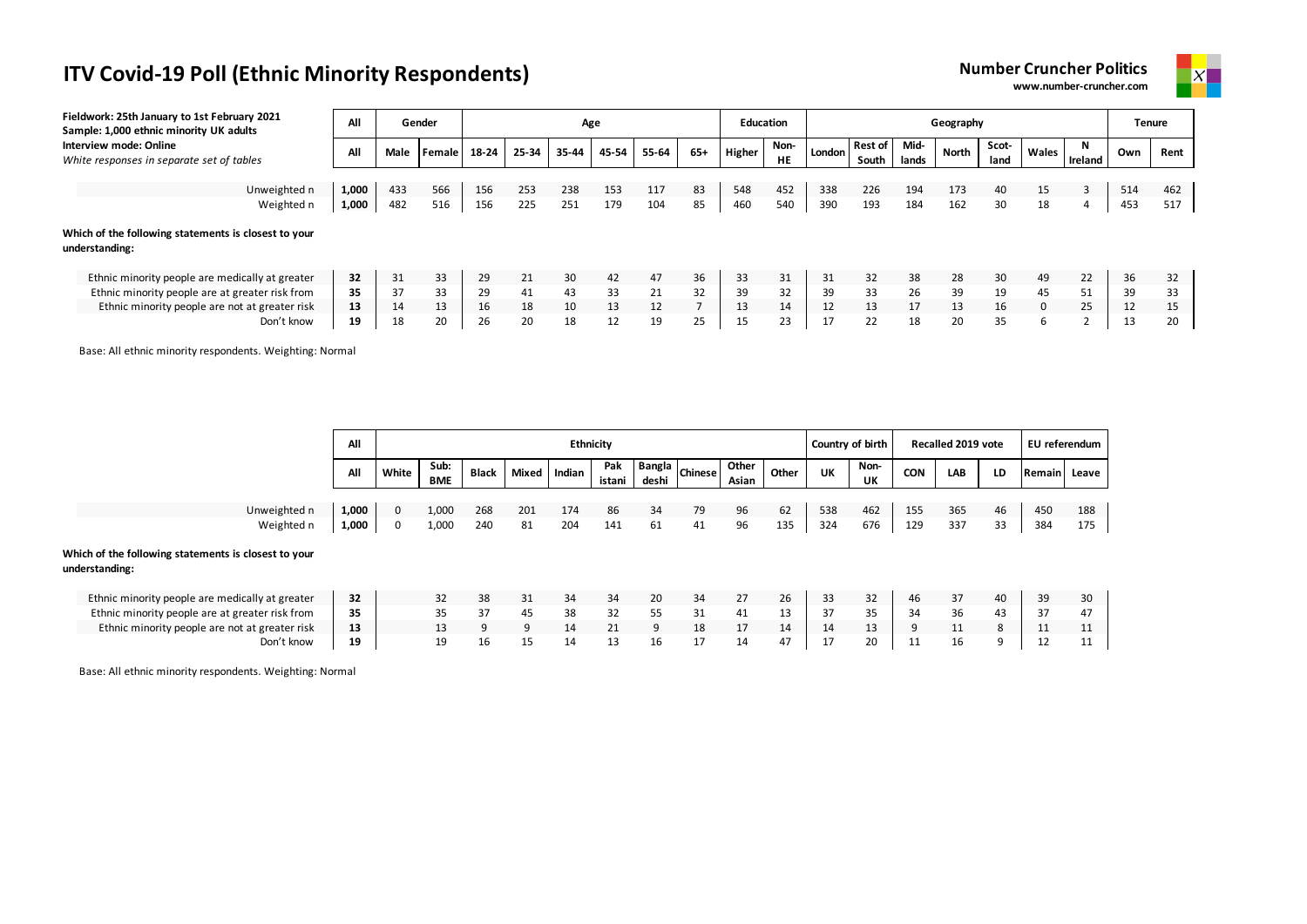| <b>Number Cruncher Politics</b> |  |
|---------------------------------|--|
| www.number-cruncher.com         |  |



| Fieldwork: 25th January to 1st February 2021<br>Sample: 1,000 ethnic minority UK adults | All   |      | Gender |       |       |       | Age   |       |       | Education |                   |        |                  |               | Geography |               |              |         | <b>Tenure</b> |      |
|-----------------------------------------------------------------------------------------|-------|------|--------|-------|-------|-------|-------|-------|-------|-----------|-------------------|--------|------------------|---------------|-----------|---------------|--------------|---------|---------------|------|
| Interview mode: Online<br>White responses in separate set of tables                     | All   | Male | Female | 18-24 | 25-34 | 35-44 | 45-54 | 55-64 | $65+$ | Higher    | Non-<br><b>HE</b> | London | Rest of<br>South | Mid-<br>lands | North     | Scot-<br>land | Wales        | Ireland | Own           | Rent |
|                                                                                         |       |      |        |       |       |       |       |       |       |           |                   |        |                  |               |           |               |              |         |               |      |
| Unweighted n                                                                            | 1,000 | 433  | 566    | 156   | 253   | 238   | 153   | 117   | 83    | 548       | 452               | 338    | 226              | 194           | 173       | 40            | 15           |         | 514           | 462  |
| Weighted n                                                                              | 1,000 | 482  | 516    | 156   | 225   | 251   | 179   | 104   | 85    | 460       | 540               | 390    | 193              | 184           | 162       | 30            | 18           | 4       | 453           | 517  |
| Which of the following statements is closest to your<br>understanding:                  |       |      |        |       |       |       |       |       |       |           |                   |        |                  |               |           |               |              |         |               |      |
| Ethnic minority people are medically at greater                                         | 32    | 31   | 33     | 29    | 21    | 30    | 42    | 47    | 36    | 33        | 31                | 31     | 32               | 38            | 28        | 30            | 49           | 22      | 36            | 32   |
| Ethnic minority people are at greater risk from                                         | 35    | 37   | 33     | 29    | 41    | 43    | 33    | 21    | 32    | 39        | 32                | 39     | 33               | 26            | 39        | 19            | 45           | 51      | 39            | 33   |
| Ethnic minority people are not at greater risk                                          | 13    | 14   | 13     | 16    | 18    | 10    | 13    | 12    |       | 13        | 14                | 12     | 13               | 17            | 13        | 16            | $\mathbf{0}$ | 25      | 12            | 15   |
| Don't know                                                                              | 19    | 18   | 20     | 26    | 20    | 18    | 12    | 19    | 25    | 15        | 23                |        | 22               | 18            | 20        | 35            |              |         | 13            | 20   |

Base: All ethnic minority respondents. Weighting: Normal

|                                                                        | All   |       |                    |              |              | Ethnicity |               |                 |                |                |       | Country of birth |            |            | Recalled 2019 vote |    | EU referendum |     |
|------------------------------------------------------------------------|-------|-------|--------------------|--------------|--------------|-----------|---------------|-----------------|----------------|----------------|-------|------------------|------------|------------|--------------------|----|---------------|-----|
|                                                                        | All   | White | Sub:<br><b>BME</b> | <b>Black</b> | <b>Mixed</b> | Indian    | Pak<br>istani | Bangla<br>deshi | <b>Chinese</b> | Other<br>Asian | Other | UK               | Non-<br>UK | <b>CON</b> | LAB                | LD | Remain Leave  |     |
|                                                                        |       |       |                    |              |              |           |               |                 |                |                |       |                  |            |            |                    |    |               |     |
| Unweighted n                                                           | 1,000 | 0     | 1,000              | 268          | 201          | 174       | 86            | 34              | 79             | 96             | 62    | 538              | 462        | 155        | 365                | 46 | 450           | 188 |
| Weighted n                                                             | 1,000 | 0     | 1,000              | 240          | 81           | 204       | 141           | 61              | 41             | 96             | 135   | 324              | 676        | 129        | 337                | 33 | 384           | 175 |
| Which of the following statements is closest to your<br>understanding: |       |       |                    |              |              |           |               |                 |                |                |       |                  |            |            |                    |    |               |     |
| Ethnic minority people are medically at greater                        | 32    |       | 32                 | 38           | 31           | 34        | 34            | 20              | 34             | 27             | 26    | 33               | 32         | 46         | 37                 | 40 | 39            | 30  |
| Ethnic minority people are at greater risk from                        | 35    |       | 35                 | 37           | 45           | 38        | 32            | 55              | 31             | 41             | 13    | 37               | 35         | 34         | 36                 | 43 | 37            | 47  |
| Ethnic minority people are not at greater risk                         | 13    |       | 13                 | 9            | q            | 14        | 21            | 9               | 18             | 17             | 14    | 14               | 13         | 9          | 11                 | 8  | 11            | 11  |
| Don't know                                                             | 19    |       | 19                 | 16           | 15           | 14        | 13            | 16              | 17             | 14             | 47    | 17               | 20         | 11         | 16                 | 9  | 12            | 11  |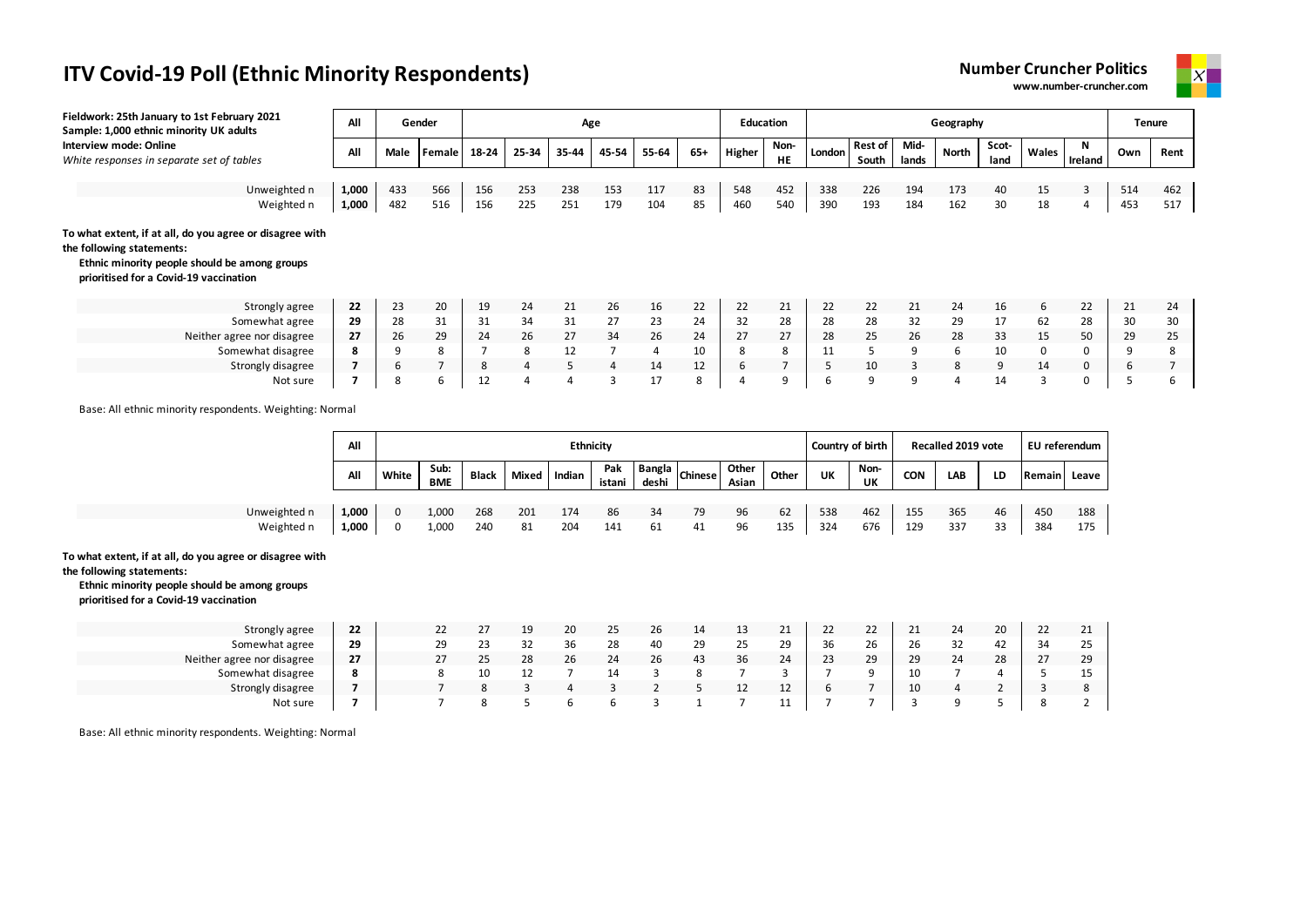



| Fieldwork: 25th January to 1st February 2021<br>Sample: 1,000 ethnic minority UK adults                                                                                          | All            |            | Gender |                |                | Age   |                |            |       | <b>Education</b> |            |                                    |                         |               | Geography                                                                                                                                                                                                                                                                                                                |               |             |              |            | <b>Tenure</b> |
|----------------------------------------------------------------------------------------------------------------------------------------------------------------------------------|----------------|------------|--------|----------------|----------------|-------|----------------|------------|-------|------------------|------------|------------------------------------|-------------------------|---------------|--------------------------------------------------------------------------------------------------------------------------------------------------------------------------------------------------------------------------------------------------------------------------------------------------------------------------|---------------|-------------|--------------|------------|---------------|
| Interview mode: Online<br>White responses in separate set of tables                                                                                                              | All            | Male       | Female | 18-24          | 25-34          | 35-44 | 45-54          | 55-64      | $65+$ | Higher           | Non-<br>HE | London                             | <b>Rest of</b><br>South | Mid-<br>lands | <b>North</b>                                                                                                                                                                                                                                                                                                             | Scot-<br>land | Wales       | N<br>Ireland | Own        | Rent          |
|                                                                                                                                                                                  |                |            | 566    |                | 253            | 238   |                |            | 83    |                  | 452        | 338                                |                         |               | 173                                                                                                                                                                                                                                                                                                                      |               |             | 3            |            |               |
| Unweighted n<br>Weighted n                                                                                                                                                       | 1,000<br>1,000 | 433<br>482 | 516    | 156<br>156     | 225            | 251   | 153<br>179     | 117<br>104 | 85    | 548<br>460       | 540        | 390                                | 226<br>193              | 194<br>184    | 162                                                                                                                                                                                                                                                                                                                      | 40<br>30      | 15<br>18    | 4            | 514<br>453 | 462<br>517    |
| To what extent, if at all, do you agree or disagree with<br>the following statements:<br>Ethnic minority people should be among groups<br>prioritised for a Covid-19 vaccination |                |            |        |                |                |       |                |            |       |                  |            |                                    |                         |               |                                                                                                                                                                                                                                                                                                                          |               |             |              |            |               |
| Strongly agree                                                                                                                                                                   | 22             | 23         | 20     | 19             | 24             | 21    | 26             | 16         | 22    | 22               | 21         | 22                                 | 22                      | 21            | 24                                                                                                                                                                                                                                                                                                                       | 16            | 6           | 22           | 21         | 24            |
| Somewhat agree                                                                                                                                                                   | 29             | 28         | 31     | 31             | 34             | 31    | 27             | 23         | 24    | 32               | 28         | 28                                 | 28                      | 32            | 29                                                                                                                                                                                                                                                                                                                       | 17            | 62          | 28           | 30         | 30            |
| Neither agree nor disagree                                                                                                                                                       | 27             | 26         | 29     | 24             | 26             | 27    | 34             | 26         | 24    | 27               | 27         | 28                                 | 25                      | 26            | 28                                                                                                                                                                                                                                                                                                                       | 33            | 15          | 50           | 29         | 25            |
| Somewhat disagree                                                                                                                                                                | 8              | 9          | 8      | $\overline{7}$ | 8              | 12    | $\overline{7}$ | 4          | 10    | 8                | 8          | 11                                 | 5                       | 9             | 6                                                                                                                                                                                                                                                                                                                        | 10            | $\mathbf 0$ | 0            | 9          | 8             |
| Strongly disagree                                                                                                                                                                |                | 6          |        | 8              | $\overline{4}$ | 5     | $\overline{4}$ | 14         | 12    | 6                | 7          | 5                                  | 10                      | 3             | 8                                                                                                                                                                                                                                                                                                                        | 9             | 14          | 0            | 6          |               |
| Not sure                                                                                                                                                                         | 7              | 8          | 6      | 12             | 4              | 4     | $\overline{3}$ | 17         | 8     | $\overline{4}$   | 9          | 6                                  | 9                       | 9             | 4                                                                                                                                                                                                                                                                                                                        | 14            | 3           | 0            | 5          | 6             |
| Base: All ethnic minority respondents. Weighting: Normal                                                                                                                         | $\sim$ 11      |            |        |                |                | .     |                |            |       |                  |            | $\sim$ $\sim$ $\sim$ $\sim$ $\sim$ |                         |               | $\sim$ $\frac{1}{2}$ $\frac{1}{2}$ $\frac{1}{2}$ $\frac{1}{2}$ $\frac{1}{2}$ $\frac{1}{2}$ $\frac{1}{2}$ $\frac{1}{2}$ $\frac{1}{2}$ $\frac{1}{2}$ $\frac{1}{2}$ $\frac{1}{2}$ $\frac{1}{2}$ $\frac{1}{2}$ $\frac{1}{2}$ $\frac{1}{2}$ $\frac{1}{2}$ $\frac{1}{2}$ $\frac{1}{2}$ $\frac{1}{2}$ $\frac{1}{2}$ $\frac{1}{$ |               | $-1$ $-1$   |              |            |               |

|              | All   |       |                    |              |       | <b>Ethnicity</b> |               |                                           |    |                |       |     | Country of birth |            | Recalled 2019 vote |           | EU referendum |         |
|--------------|-------|-------|--------------------|--------------|-------|------------------|---------------|-------------------------------------------|----|----------------|-------|-----|------------------|------------|--------------------|-----------|---------------|---------|
|              | All   | White | Sub:<br><b>BME</b> | <b>Black</b> | Mixed | Indian           | Pak<br>istani | <b>Now Bangla</b> <i>Chinese</i><br>deshi |    | Other<br>Asian | Other | UK  | Non-<br>UK       | <b>CON</b> | <b>LAB</b>         | <b>LD</b> | Remain        | Leave l |
|              |       |       |                    |              |       |                  |               |                                           |    |                |       |     |                  |            |                    |           |               |         |
| Unweighted n | 1.000 |       | 1,000              | 268          | 201   | 174              | 86            |                                           | 79 | 96             | 62    | 538 | 462              | 155        | 365                | 46        | 450           | 188     |
| Weighted n   | 1,000 | 0     | 1,000              | 240          | 81    | 204              | 141           | 61                                        | 41 | 96             | 135   | 324 | 676              | 129        | 337                | 33        | 384           | 175     |

#### **To what extent, if at all, do you agree or disagree with**

**the following statements:**

**Ethnic minority people should be among groups prioritised for a Covid-19 vaccination**

| Strongly agree             | 22        | 22 |    | 19 | 20 | 25 | ۷b |    | 13 | ᅩ        | 22 | วว<br>ᅩ | <u>_ _</u> | 24      | 20 | 22 | 21 |
|----------------------------|-----------|----|----|----|----|----|----|----|----|----------|----|---------|------------|---------|----|----|----|
| Somewhat agree             | 29        | 29 |    |    | 36 | 28 | 40 | 29 | 25 | 29       | 36 | 26      | 26         | 22<br>ັ | 42 | 34 | 25 |
| Neither agree nor disagree | 27        | 27 | 25 | 28 | 26 | 24 | Zb | 43 | 36 | 24       | 23 | 29      | 29         | 24      | 28 | 27 | 29 |
| Somewhat disagree          | $\bullet$ |    |    |    |    |    |    |    |    |          |    |         | ⊥∪         |         |    |    | ᆠ  |
| Strongly disagree          |           |    |    |    |    |    |    |    | 12 | 12<br>ᅩᄼ | υ  |         | 10         |         |    |    |    |
| Not sure                   |           |    |    |    |    |    |    |    |    | . .      |    |         |            |         |    |    |    |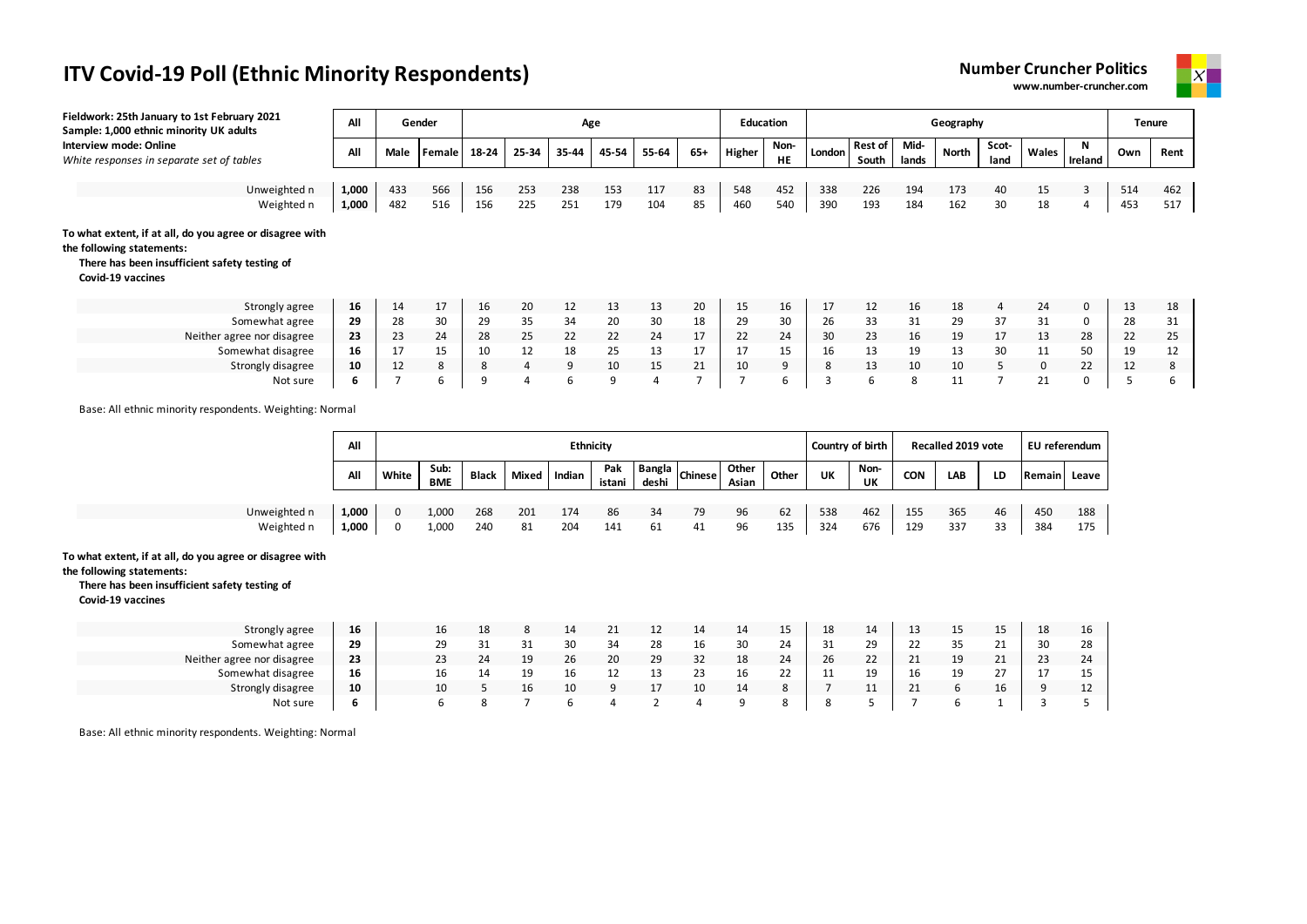



| Fieldwork: 25th January to 1st February 2021<br>Sample: 1,000 ethnic minority UK adults                                                                     | All             |                | Gender |       |                | Age   |           |                |                | <b>Education</b> |                   |                  |                  |               | Geography          |                |                |              |     | <b>Tenure</b> |
|-------------------------------------------------------------------------------------------------------------------------------------------------------------|-----------------|----------------|--------|-------|----------------|-------|-----------|----------------|----------------|------------------|-------------------|------------------|------------------|---------------|--------------------|----------------|----------------|--------------|-----|---------------|
| <b>Interview mode: Online</b><br>White responses in separate set of tables                                                                                  | All             | Male           | Female | 18-24 | 25-34          | 35-44 | 45-54     | 55-64          | $65+$          | Higher           | Non-<br><b>HE</b> | London           | Rest of<br>South | Mid-<br>lands | North              | Scot-<br>land  | Wales          | N<br>Ireland | Own | Rent          |
|                                                                                                                                                             |                 |                |        |       |                |       |           |                |                |                  |                   |                  |                  |               |                    |                |                |              |     |               |
| Unweighted n                                                                                                                                                | 1,000           | 433            | 566    | 156   | 253            | 238   | 153       | 117            | 83             | 548              | 452               | 338              | 226              | 194           | 173                | 40             | 15             | 3            | 514 | 462           |
| Weighted n                                                                                                                                                  | 1,000           | 482            | 516    | 156   | 225            | 251   | 179       | 104            | 85             | 460              | 540               | 390              | 193              | 184           | 162                | 30             | 18             | 4            | 453 | 517           |
| To what extent, if at all, do you agree or disagree with<br>the following statements:<br>There has been insufficient safety testing of<br>Covid-19 vaccines |                 |                |        |       |                |       |           |                |                |                  |                   |                  |                  |               |                    |                |                |              |     |               |
| Strongly agree                                                                                                                                              | 16              | 14             | 17     | 16    | 20             | 12    | 13        | 13             | 20             | 15               | 16                | 17               | 12               | 16            | 18                 | 4              | 24             | 0            | 13  | 18            |
| Somewhat agree                                                                                                                                              | 29              | 28             | 30     | 29    | 35             | 34    | 20        | 30             | 18             | 29               | 30                | 26               | 33               | 31            | 29                 | 37             | 31             | 0            | 28  | 31            |
| Neither agree nor disagree                                                                                                                                  | 23              | 23             | 24     | 28    | 25             | 22    | 22        | 24             | 17             | 22               | 24                | 30               | 23               | 16            | 19                 | 17             | 13             | 28           | 22  | 25            |
| Somewhat disagree                                                                                                                                           | 16              | 17             | 15     | 10    | 12             | 18    | 25        | 13             | 17             | 17               | 15                | 16               | 13               | 19            | 13                 | 30             | 11             | 50           | 19  | 12            |
| Strongly disagree                                                                                                                                           | 10              | 12             | 8      | 8     | $\overline{4}$ | 9     | 10        | 15             | 21             | 10               | 9                 | 8                | 13               | 10            | 10                 | 5              | 0              | 22           | 12  | 8             |
| Not sure                                                                                                                                                    | 6               | $\overline{7}$ | 6      | 9     | 4              | 6     | 9         | $\overline{a}$ | $\overline{7}$ |                  | 6                 | 3                | 6                | 8             | 11                 | $\overline{7}$ | 21             | 0            | 5   | 6             |
| Base: All ethnic minority respondents. Weighting: Normal                                                                                                    | $\overline{AB}$ |                |        |       |                |       | Ethnicity |                |                |                  |                   | Country of hirth |                  |               | Bossiled 2010 usts |                | Ell referendum |              |     |               |

|              | All   |       |                    |              |       |        | <b>Ethnicity</b> |       |                   |                |       |     | Country of birth |            | Recalled 2019 vote |           | EU referendum |     |
|--------------|-------|-------|--------------------|--------------|-------|--------|------------------|-------|-------------------|----------------|-------|-----|------------------|------------|--------------------|-----------|---------------|-----|
|              | All   | White | Sub:<br><b>BME</b> | <b>Black</b> | Mixed | Indian | Pak<br>istani    | deshi | -- Bangla Chinese | Other<br>Asian | Other | UK  | Non-<br>UK       | <b>CON</b> | LAB                | LD        | Remain Leave  |     |
|              |       |       |                    |              |       |        |                  |       |                   |                |       |     |                  |            |                    |           |               |     |
| Unweighted n | 1.000 |       | 1,000              | 268          | 201   | 174    | 86               | 34    | 79                | 96             | 62    | 538 | 462              | 155        | 365                | 46        | 450           | 188 |
| Weighted n   | 1,000 |       | 1,000              | 240          | 81    | 204    | 141              | 61    | 41                | 96             | 135   | 324 | 676              | 129        | 337                | २२<br>۔ ب | 384           | 175 |

### **To what extent, if at all, do you agree or disagree with**

#### **the following statements:**

### **There has been insufficient safety testing of**

**Covid-19 vaccines**

| Strongly agree             | 16 | 16 | 18 |    |    |    |    | 14 | 14 | 15 | 18 | 14        |            | 15 | 15 | 18 | 16 |
|----------------------------|----|----|----|----|----|----|----|----|----|----|----|-----------|------------|----|----|----|----|
| Somewhat agree             | 29 | 29 |    |    | 30 | 34 | 28 | 16 | 30 | 24 | 31 | 29<br>ت   | ᅩ          | 35 | 21 | 30 | 28 |
| Neither agree nor disagree | 23 | 23 |    | 19 | 26 | 20 | 29 | 32 | 18 | 24 | 26 | วว<br>ZZ  | ᅩ          | 19 | 21 | 23 | 24 |
| Somewhat disagree          | 16 | 16 |    | 19 |    |    | 13 | 23 | 16 |    | ** | 10.<br>-- | 16         | 19 | つつ |    | 15 |
| Strongly disagree          | 10 | 10 |    | 16 |    |    |    | 10 | 14 |    |    | . .       | <u>_ _</u> |    | 16 |    | 12 |
| Not sure                   | O  |    |    |    |    |    |    |    |    |    |    |           |            |    |    |    |    |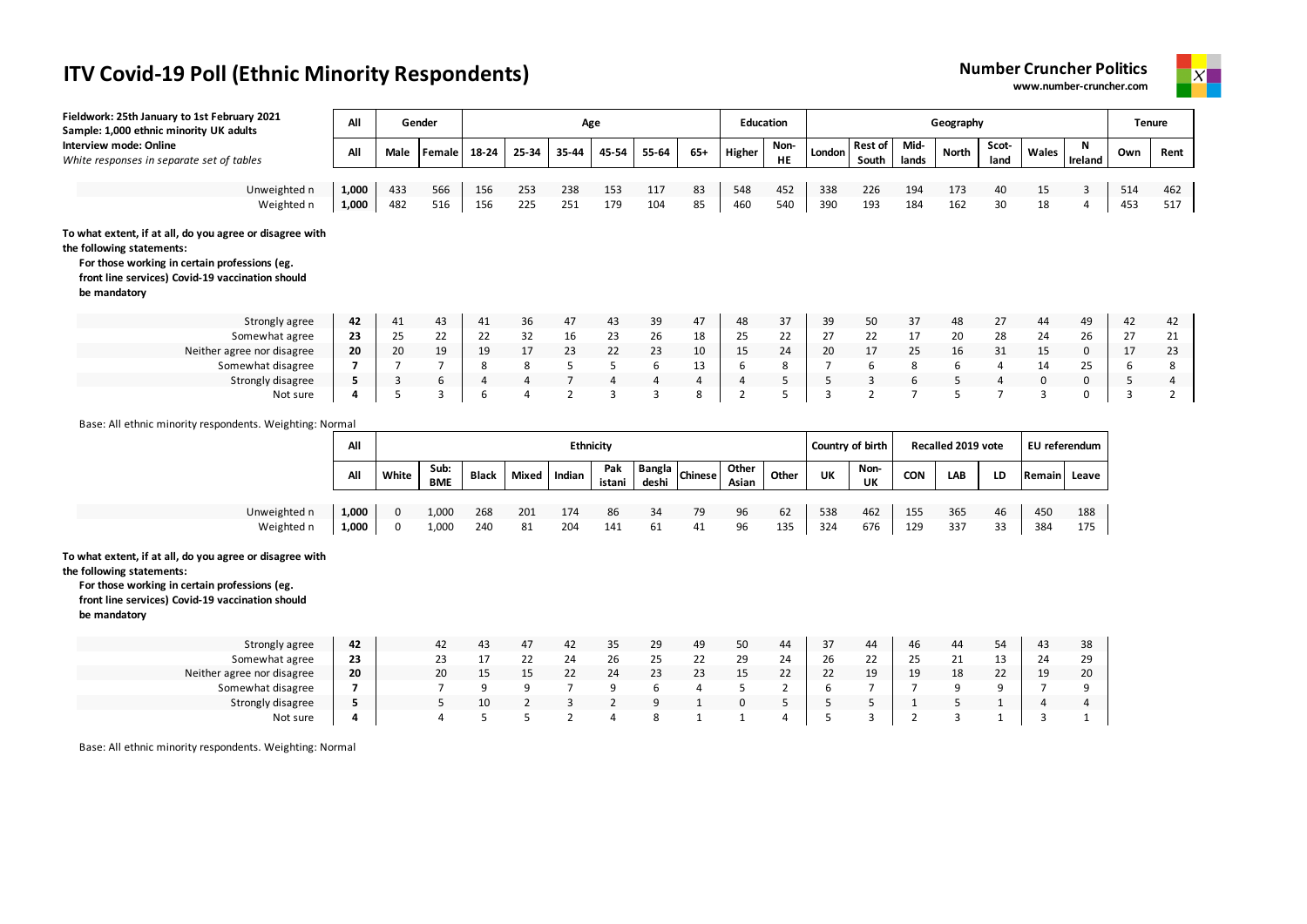



| Fieldwork: 25th January to 1st February 2021<br>Sample: 1,000 ethnic minority UK adults                                                                                                                    | All            |                  | Gender             | <b>Education</b><br>Age |                |                |                            |                 |                |                |                |                        |                         |                | Geography                        |                |                         |                     |            | <b>Tenure</b>  |
|------------------------------------------------------------------------------------------------------------------------------------------------------------------------------------------------------------|----------------|------------------|--------------------|-------------------------|----------------|----------------|----------------------------|-----------------|----------------|----------------|----------------|------------------------|-------------------------|----------------|----------------------------------|----------------|-------------------------|---------------------|------------|----------------|
| Interview mode: Online<br>White responses in separate set of tables                                                                                                                                        | All            | Male             | Female             | 18-24                   | 25-34          | 35-44          | 45-54                      | 55-64           | $65+$          | Higher         | Non-<br>HE     | London                 | <b>Rest of</b><br>South | Mid-<br>lands  | <b>North</b>                     | Scot-<br>land  | Wales                   | Ν<br>Ireland        | Own        | Rent           |
|                                                                                                                                                                                                            |                |                  |                    |                         |                |                |                            |                 |                |                |                |                        |                         |                |                                  |                |                         |                     |            |                |
| Unweighted n<br>Weighted n                                                                                                                                                                                 | 1,000<br>1,000 | 433<br>482       | 566<br>516         | 156<br>156              | 253<br>225     | 238<br>251     | 153<br>179                 | 117<br>104      | 83<br>85       | 548<br>460     | 452<br>540     | 338<br>390             | 226<br>193              | 194<br>184     | 173<br>162                       | 40<br>30       | 15<br>18                | $\overline{3}$<br>4 | 514<br>453 | 462<br>517     |
| To what extent, if at all, do you agree or disagree with<br>the following statements:<br>For those working in certain professions (eg.<br>front line services) Covid-19 vaccination should<br>be mandatory |                |                  |                    |                         |                |                |                            |                 |                |                |                |                        |                         |                |                                  |                |                         |                     |            |                |
| Strongly agree                                                                                                                                                                                             | 42             | 41               | 43                 | 41                      | 36             | 47             | 43                         | 39              | 47             | 48             | 37             | 39                     | 50                      | 37             | 48                               | 27             | 44                      | 49                  | 42         | 42             |
| Somewhat agree                                                                                                                                                                                             | 23             | 25               | 22                 | 22                      | 32             | 16             | 23                         | 26              | 18             | 25             | 22             | 27                     | 22                      | 17             | 20                               | 28             | 24                      | 26                  | 27         | 21             |
| Neither agree nor disagree                                                                                                                                                                                 | 20             | 20               | 19                 | 19                      | 17             | 23             | 22                         | 23              | 10             | 15             | 24             | 20                     | 17                      | 25             | 16                               | 31             | 15                      | $\mathbf 0$         | 17         | 23             |
| Somewhat disagree                                                                                                                                                                                          | $\overline{7}$ | $\overline{7}$   | $\overline{7}$     | 8                       | 8              | 5              | 5                          | 6               | 13             | 6              | 8              | $\overline{7}$         | 6                       | 8              | 6                                | $\overline{4}$ | 14                      | 25                  | 6          | 8              |
| Strongly disagree                                                                                                                                                                                          | 5              | $\overline{3}$   | 6                  | $\overline{4}$          | $\overline{4}$ | $\overline{7}$ | $\overline{4}$             | $\overline{4}$  | $\overline{4}$ | $\overline{4}$ | 5              | 5                      | $\overline{3}$          | 6              | 5                                | $\overline{a}$ | $\mathbf 0$             | $\mathbf 0$         | 5          | $\overline{4}$ |
| Not sure                                                                                                                                                                                                   | 4              | 5                | $\overline{3}$     | 6                       | $\overline{a}$ | $\overline{2}$ | 3                          | 3               | 8              | $\overline{2}$ | 5              | $\overline{3}$         | $\overline{2}$          | $\overline{7}$ | 5                                | $\overline{7}$ | 3                       | $\Omega$            | 3          | $\overline{2}$ |
|                                                                                                                                                                                                            | All<br>All     | White            | Sub:<br><b>BME</b> | <b>Black</b>            | Mixed          | Indian         | Ethnicity<br>Pak<br>istani | Bangla<br>deshi | Chinese        | Other<br>Asian | Other          | Country of birth<br>UK | Non-<br>UK              | <b>CON</b>     | <b>Recalled 2019 vote</b><br>LAB | LD             | EU referendum<br>Remain | Leave               |            |                |
|                                                                                                                                                                                                            |                |                  |                    |                         |                |                |                            |                 |                |                |                |                        |                         |                |                                  |                |                         |                     |            |                |
| Unweighted n<br>Weighted n                                                                                                                                                                                 | 1,000<br>1,000 | $\mathbf 0$<br>0 | 1,000<br>1,000     | 268<br>240              | 201<br>81      | 174<br>204     | 86<br>141                  | 34<br>61        | 79<br>41       | 96<br>96       | 62<br>135      | 538<br>324             | 462<br>676              | 155<br>129     | 365<br>337                       | 46<br>33       | 450<br>384              | 188<br>175          |            |                |
| To what extent, if at all, do you agree or disagree with<br>the following statements:<br>For those working in certain professions (eg.<br>front line services) Covid-19 vaccination should<br>be mandatory |                |                  |                    |                         |                |                |                            |                 |                |                |                |                        |                         |                |                                  |                |                         |                     |            |                |
| Strongly agree                                                                                                                                                                                             | 42             |                  | 42                 | 43                      | 47             | 42             | 35                         | 29              | 49             | 50             | 44             | 37                     | 44                      | 46             | 44                               | 54             | 43                      | 38                  |            |                |
| Somewhat agree                                                                                                                                                                                             | 23             |                  | 23                 | 17                      | 22             | 24             | 26                         | 25              | 22             | 29             | 24             | 26                     | 22                      | 25             | 21                               | 13             | 24                      | 29                  |            |                |
| Neither agree nor disagree                                                                                                                                                                                 | 20             |                  | 20                 | 15                      | 15             | 22             | 24                         | 23              | 23             | 15             | 22             | 22                     | 19                      | 19             | 18                               | 22             | 19                      | 20                  |            |                |
| Somewhat disagree                                                                                                                                                                                          | $\overline{7}$ |                  | $\overline{7}$     | 9                       | 9              | $\overline{7}$ | 9                          | 6               | $\overline{4}$ | 5              | $\overline{2}$ | 6                      | $\overline{7}$          | $\overline{7}$ | 9                                | 9              | $\overline{7}$          | 9                   |            |                |
| Strongly disagree                                                                                                                                                                                          | 5              |                  | 5                  | 10                      | $\overline{2}$ | 3              | $\overline{2}$             | 9               | $\mathbf{1}$   | $\mathbf 0$    | 5              | 5                      | 5                       | 1              | 5                                | $\mathbf{1}$   | $\overline{a}$          | $\overline{4}$      |            |                |
| Not sure                                                                                                                                                                                                   | 4              |                  | 4                  | 5                       | 5              | $\overline{2}$ | 4                          | 8               | 1              | 1              | 4              | 5                      | 3                       | $\overline{2}$ | 3                                | $\mathbf{1}$   | $\overline{3}$          | $\mathbf{1}$        |            |                |
| Base: All ethnic minority respondents. Weighting: Normal                                                                                                                                                   |                |                  |                    |                         |                |                |                            |                 |                |                |                |                        |                         |                |                                  |                |                         |                     |            |                |